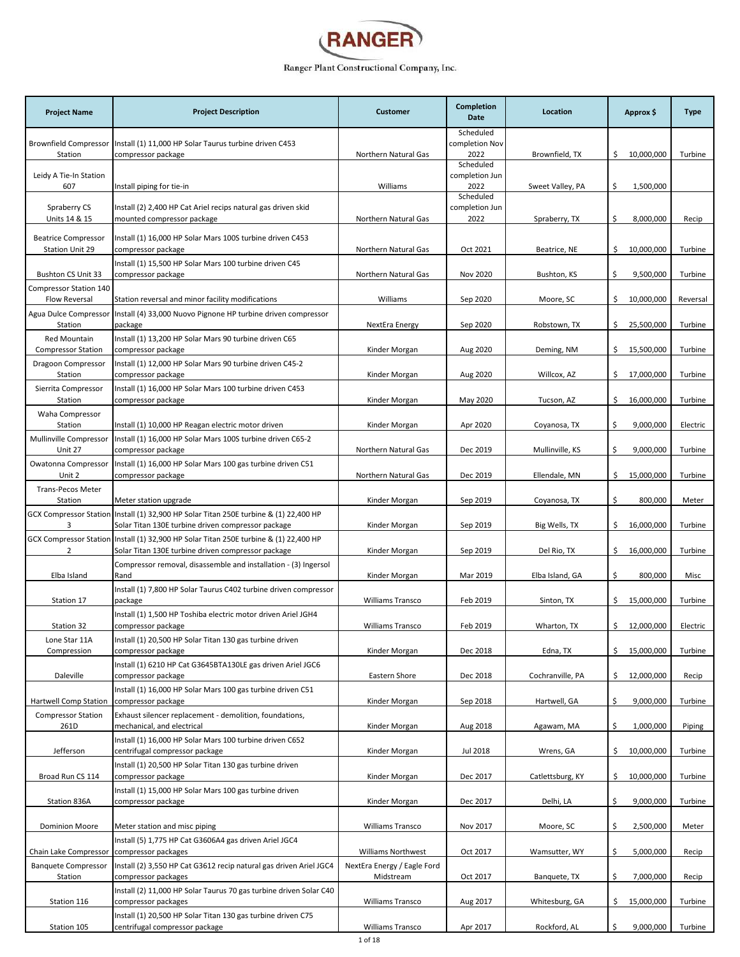

| <b>Project Name</b>                           | <b>Project Description</b>                                                                                                                  | <b>Customer</b>                          | Completion<br>Date                  | Location         | Approx \$        | <b>Type</b> |
|-----------------------------------------------|---------------------------------------------------------------------------------------------------------------------------------------------|------------------------------------------|-------------------------------------|------------------|------------------|-------------|
| Station                                       | Brownfield Compressor   Install (1) 11,000 HP Solar Taurus turbine driven C453<br>compressor package                                        | Northern Natural Gas                     | Scheduled<br>completion Nov<br>2022 | Brownfield, TX   | \$10,000,000     | Turbine     |
| Leidy A Tie-In Station<br>607                 | Install piping for tie-in                                                                                                                   | Williams                                 | Scheduled<br>completion Jun<br>2022 | Sweet Valley, PA | \$<br>1,500,000  |             |
| Spraberry CS<br>Units 14 & 15                 | Install (2) 2,400 HP Cat Ariel recips natural gas driven skid<br>mounted compressor package                                                 | Northern Natural Gas                     | Scheduled<br>completion Jun<br>2022 | Spraberry, TX    | \$<br>8,000,000  | Recip       |
| <b>Beatrice Compressor</b><br>Station Unit 29 | Install (1) 16,000 HP Solar Mars 100S turbine driven C453<br>compressor package                                                             | Northern Natural Gas                     | Oct 2021                            | Beatrice, NE     | \$<br>10,000,000 | Turbine     |
| Bushton CS Unit 33                            | Install (1) 15,500 HP Solar Mars 100 turbine driven C45<br>compressor package                                                               | Northern Natural Gas                     | Nov 2020                            | Bushton, KS      | \$<br>9,500,000  | Turbine     |
| Compressor Station 140<br>Flow Reversal       | Station reversal and minor facility modifications                                                                                           | Williams                                 | Sep 2020                            | Moore, SC        | \$<br>10,000,000 | Reversal    |
| Station                                       | Agua Dulce Compressor   Install (4) 33,000 Nuovo Pignone HP turbine driven compressor<br>package                                            | NextEra Energy                           | Sep 2020                            | Robstown, TX     | \$<br>25,500,000 | Turbine     |
| Red Mountain<br><b>Compressor Station</b>     | Install (1) 13,200 HP Solar Mars 90 turbine driven C65<br>compressor package                                                                | Kinder Morgan                            | Aug 2020                            | Deming, NM       | \$<br>15,500,000 | Turbine     |
| Dragoon Compressor<br>Station                 | Install (1) 12,000 HP Solar Mars 90 turbine driven C45-2<br>compressor package                                                              | Kinder Morgan                            | Aug 2020                            | Willcox, AZ      | \$<br>17,000,000 | Turbine     |
| Sierrita Compressor<br>Station                | Install (1) 16,000 HP Solar Mars 100 turbine driven C453<br>compressor package                                                              | Kinder Morgan                            | May 2020                            | Tucson, AZ       | \$<br>16,000,000 | Turbine     |
| Waha Compressor<br>Station                    | Install (1) 10,000 HP Reagan electric motor driven                                                                                          | Kinder Morgan                            | Apr 2020                            | Coyanosa, TX     | \$<br>9,000,000  | Electric    |
| Mullinville Compressor<br>Unit 27             | Install (1) 16,000 HP Solar Mars 100S turbine driven C65-2<br>compressor package                                                            | Northern Natural Gas                     | Dec 2019                            | Mullinville, KS  | \$<br>9,000,000  | Turbine     |
| Owatonna Compressor<br>Unit 2                 | Install (1) 16,000 HP Solar Mars 100 gas turbine driven C51<br>compressor package                                                           | Northern Natural Gas                     | Dec 2019                            | Ellendale, MN    | \$<br>15,000,000 | Turbine     |
| Trans-Pecos Meter<br>Station                  | Meter station upgrade                                                                                                                       | Kinder Morgan                            | Sep 2019                            | Coyanosa, TX     | \$<br>800,000    | Meter       |
| 3                                             | GCX Compressor Station Install (1) 32,900 HP Solar Titan 250E turbine & (1) 22,400 HP<br>Solar Titan 130E turbine driven compressor package | Kinder Morgan                            | Sep 2019                            | Big Wells, TX    | \$<br>16,000,000 | Turbine     |
| 2                                             | GCX Compressor Station Install (1) 32,900 HP Solar Titan 250E turbine & (1) 22,400 HP<br>Solar Titan 130E turbine driven compressor package | Kinder Morgan                            | Sep 2019                            | Del Rio, TX      | \$<br>16,000,000 | Turbine     |
| Elba Island                                   | Compressor removal, disassemble and installation - (3) Ingersol<br>Rand                                                                     | Kinder Morgan                            | Mar 2019                            | Elba Island, GA  | \$<br>800,000    | Misc        |
| Station 17                                    | Install (1) 7,800 HP Solar Taurus C402 turbine driven compressor<br>package                                                                 | Williams Transco                         | Feb 2019                            | Sinton, TX       | \$<br>15,000,000 | Turbine     |
| Station 32                                    | Install (1) 1,500 HP Toshiba electric motor driven Ariel JGH4<br>compressor package                                                         | <b>Williams Transco</b>                  | Feb 2019                            | Wharton, TX      | \$12,000,000     | Electric    |
| Lone Star 11A<br>Compression                  | Install (1) 20,500 HP Solar Titan 130 gas turbine driven<br>compressor package                                                              | Kinder Morgan                            | Dec 2018                            | Edna, TX         | \$<br>15,000,000 | Turbine     |
| Daleville                                     | Install (1) 6210 HP Cat G3645BTA130LE gas driven Ariel JGC6<br>compressor package                                                           | Eastern Shore                            | Dec 2018                            | Cochranville, PA | \$<br>12,000,000 | Recip       |
| Hartwell Comp Station                         | Install (1) 16,000 HP Solar Mars 100 gas turbine driven C51<br>compressor package                                                           | Kinder Morgan                            | Sep 2018                            | Hartwell, GA     | \$<br>9,000,000  | Turbine     |
| <b>Compressor Station</b><br>261D             | Exhaust silencer replacement - demolition, foundations,<br>mechanical, and electrical                                                       | Kinder Morgan                            | Aug 2018                            | Agawam, MA       | \$<br>1,000,000  | Piping      |
| Jefferson                                     | Install (1) 16,000 HP Solar Mars 100 turbine driven C652<br>centrifugal compressor package                                                  | Kinder Morgan                            | Jul 2018                            | Wrens, GA        | \$<br>10,000,000 | Turbine     |
| Broad Run CS 114                              | Install (1) 20,500 HP Solar Titan 130 gas turbine driven<br>compressor package                                                              | Kinder Morgan                            | Dec 2017                            | Catlettsburg, KY | \$<br>10,000,000 | Turbine     |
| Station 836A                                  | Install (1) 15,000 HP Solar Mars 100 gas turbine driven<br>compressor package                                                               | Kinder Morgan                            | Dec 2017                            | Delhi, LA        | \$<br>9,000,000  | Turbine     |
| <b>Dominion Moore</b>                         | Meter station and misc piping                                                                                                               | Williams Transco                         | Nov 2017                            | Moore, SC        | \$<br>2,500,000  | Meter       |
| Chain Lake Compressor                         | Install (5) 1,775 HP Cat G3606A4 gas driven Ariel JGC4<br>compressor packages                                                               | Williams Northwest                       | Oct 2017                            | Wamsutter, WY    | \$<br>5,000,000  | Recip       |
| <b>Banquete Compressor</b><br>Station         | Install (2) 3,550 HP Cat G3612 recip natural gas driven Ariel JGC4<br>compressor packages                                                   | NextEra Energy / Eagle Ford<br>Midstream | Oct 2017                            | Banquete, TX     | \$<br>7,000,000  | Recip       |
| Station 116                                   | Install (2) 11,000 HP Solar Taurus 70 gas turbine driven Solar C40<br>compressor packages                                                   | Williams Transco                         | Aug 2017                            | Whitesburg, GA   | \$<br>15,000,000 | Turbine     |
| Station 105                                   | Install (1) 20,500 HP Solar Titan 130 gas turbine driven C75<br>centrifugal compressor package                                              | Williams Transco                         | Apr 2017                            | Rockford, AL     | \$<br>9,000,000  | Turbine     |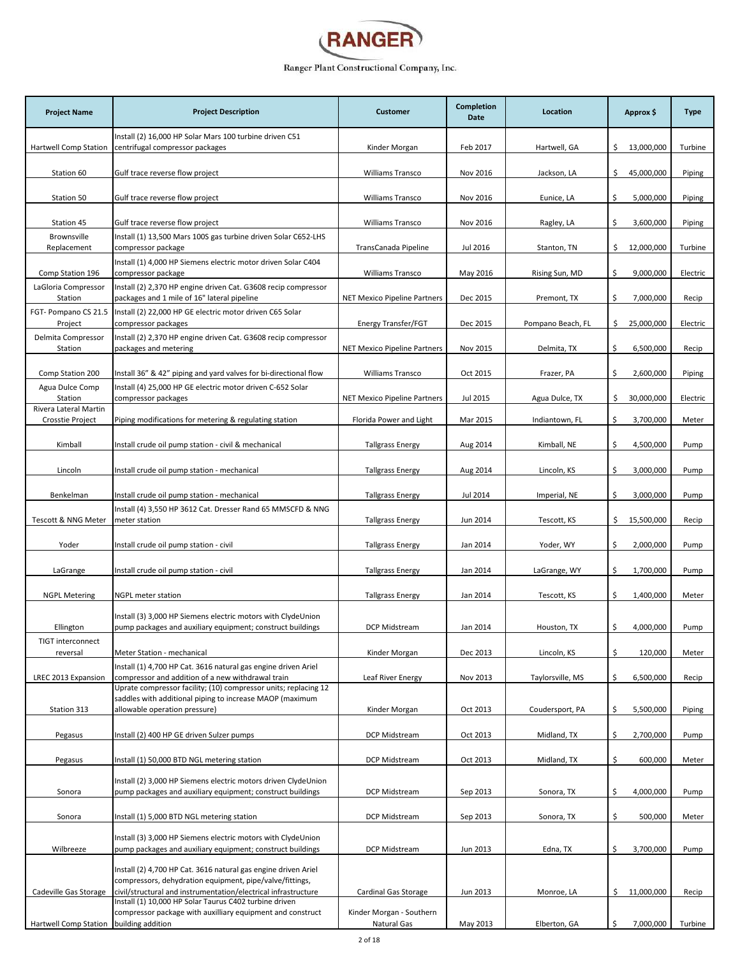

| Install (2) 16,000 HP Solar Mars 100 turbine driven C51<br>centrifugal compressor packages<br>\$13,000,000<br>Turbine<br>Hartwell Comp Station<br>Kinder Morgan<br>Feb 2017<br>Hartwell, GA<br>Station 60<br>Gulf trace reverse flow project<br>Nov 2016<br>\$<br>45,000,000<br>Piping<br><b>Williams Transco</b><br>Jackson, LA<br><b>Williams Transco</b><br>\$<br>5,000,000<br>Station 50<br>Gulf trace reverse flow project<br>Nov 2016<br>Eunice, LA<br>Piping<br>3,600,000<br>Station 45<br>Gulf trace reverse flow project<br><b>Williams Transco</b><br>Nov 2016<br>Ragley, LA<br>\$<br>Piping<br>Brownsville<br>Install (1) 13,500 Mars 100S gas turbine driven Solar C652-LHS<br>12,000,000<br>Turbine<br>Replacement<br>compressor package<br>TransCanada Pipeline<br>Jul 2016<br>Stanton, TN<br>\$.<br>Install (1) 4,000 HP Siemens electric motor driven Solar C404<br>\$<br>9,000,000<br>Comp Station 196<br>compressor package<br><b>Williams Transco</b><br>May 2016<br>Rising Sun, MD<br>Electric<br>LaGloria Compressor<br>Install (2) 2,370 HP engine driven Cat. G3608 recip compressor<br>packages and 1 mile of 16" lateral pipeline<br>\$<br>7,000,000<br>Station<br>NET Mexico Pipeline Partners<br>Dec 2015<br>Premont, TX<br>Recip<br>FGT- Pompano CS 21.5<br>Install (2) 22,000 HP GE electric motor driven C65 Solar<br>\$<br>25,000,000<br>Project<br>compressor packages<br>Energy Transfer/FGT<br>Dec 2015<br>Pompano Beach, FL<br>Electric<br>Delmita Compressor<br>Install (2) 2,370 HP engine driven Cat. G3608 recip compressor<br>\$<br>6,500,000<br>Station<br>packages and metering<br><b>NET Mexico Pipeline Partners</b><br>Nov 2015<br>Delmita, TX<br>Recip<br>\$<br>2,600,000<br>Piping<br>Comp Station 200<br>Install 36" & 42" piping and yard valves for bi-directional flow<br><b>Williams Transco</b><br>Oct 2015<br>Frazer, PA<br>Agua Dulce Comp<br>Install (4) 25,000 HP GE electric motor driven C-652 Solar<br>30,000,000<br>Station<br>compressor packages<br><b>NET Mexico Pipeline Partners</b><br>Jul 2015<br>Agua Dulce, TX<br>\$<br>Electric<br>Rivera Lateral Martin<br>\$<br>3,700,000<br>Crosstie Project<br>Piping modifications for metering & regulating station<br>Florida Power and Light<br>Mar 2015<br>Indiantown, FL<br>Meter<br>\$<br>Kimball<br>Install crude oil pump station - civil & mechanical<br>Kimball, NE<br>4,500,000<br><b>Tallgrass Energy</b><br>Aug 2014<br>Pump<br>\$<br>3,000,000<br>Lincoln<br>Install crude oil pump station - mechanical<br><b>Tallgrass Energy</b><br>Aug 2014<br>Lincoln, KS<br>Pump<br>Jul 2014<br>\$<br>3,000,000<br>Benkelman<br>Install crude oil pump station - mechanical<br><b>Tallgrass Energy</b><br>Imperial, NE<br>Pump<br>Install (4) 3,550 HP 3612 Cat. Dresser Rand 65 MMSCFD & NNG<br>Jun 2014<br>\$<br>15,500,000<br>Tescott & NNG Meter<br>meter station<br><b>Tallgrass Energy</b><br>Tescott, KS<br>Recip<br>\$<br>2,000,000<br>Yoder<br>Install crude oil pump station - civil<br><b>Tallgrass Energy</b><br>Jan 2014<br>Yoder, WY<br>Pump<br>1,700,000<br>LaGrange<br>Install crude oil pump station - civil<br><b>Tallgrass Energy</b><br>Jan 2014<br>LaGrange, WY<br>\$<br>Pump<br>\$<br>1,400,000<br><b>NGPL Metering</b><br><b>NGPL meter station</b><br><b>Tallgrass Energy</b><br>Jan 2014<br>Tescott, KS<br>Meter<br>Install (3) 3,000 HP Siemens electric motors with ClydeUnion<br>Jan 2014<br>\$.<br>4,000,000<br>Ellington<br>pump packages and auxiliary equipment; construct buildings<br>DCP Midstream<br>Houston, TX<br>Pump<br>TIGT interconnect<br>\$<br>Meter Station - mechanical<br>Dec 2013<br>Lincoln, KS<br>120,000<br>reversal<br>Kinder Morgan<br>Meter<br>Install (1) 4,700 HP Cat. 3616 natural gas engine driven Ariel<br>compressor and addition of a new withdrawal train<br>\$<br>6,500,000<br>Leaf River Energy<br>Nov 2013<br>Recip<br>LREC 2013 Expansion<br>Taylorsville, MS<br>Uprate compressor facility; (10) compressor units; replacing 12<br>saddles with additional piping to increase MAOP (maximum<br>Station 313<br>allowable operation pressure)<br>Oct 2013<br>Coudersport, PA<br>\$<br>5,500,000<br>Piping<br>Kinder Morgan<br>DCP Midstream<br>Oct 2013<br>\$<br>2,700,000<br>Pump<br>Pegasus<br>Install (2) 400 HP GE driven Sulzer pumps<br>Midland, TX<br>\$<br>600,000<br>Install (1) 50,000 BTD NGL metering station<br>DCP Midstream<br>Oct 2013<br>Midland, TX<br>Meter<br>Pegasus<br>Install (2) 3,000 HP Siemens electric motors driven ClydeUnion<br>pump packages and auxiliary equipment; construct buildings<br>Sonora, TX<br>\$<br>4,000,000<br>Sonora<br>DCP Midstream<br>Sep 2013<br>Pump<br>\$<br>500,000<br>DCP Midstream<br>Sep 2013<br>Meter<br>Sonora<br>Install (1) 5,000 BTD NGL metering station<br>Sonora, TX<br>Install (3) 3,000 HP Siemens electric motors with ClydeUnion<br>Wilbreeze<br>pump packages and auxiliary equipment; construct buildings<br>DCP Midstream<br>Jun 2013<br>Edna, TX<br>\$<br>3,700,000<br>Pump<br>Install (2) 4,700 HP Cat. 3616 natural gas engine driven Ariel<br>compressors, dehydration equipment, pipe/valve/fittings,<br>civil/structural and instrumentation/electrical infrastructure<br>\$11,000,000<br>Cadeville Gas Storage<br>Cardinal Gas Storage<br>Jun 2013<br>Monroe, LA<br>Recip<br>Install (1) 10,000 HP Solar Taurus C402 turbine driven | <b>Project Name</b> | <b>Project Description</b> | <b>Customer</b> | <b>Completion</b><br><b>Date</b> | Location | Approx \$ | <b>Type</b> |
|-------------------------------------------------------------------------------------------------------------------------------------------------------------------------------------------------------------------------------------------------------------------------------------------------------------------------------------------------------------------------------------------------------------------------------------------------------------------------------------------------------------------------------------------------------------------------------------------------------------------------------------------------------------------------------------------------------------------------------------------------------------------------------------------------------------------------------------------------------------------------------------------------------------------------------------------------------------------------------------------------------------------------------------------------------------------------------------------------------------------------------------------------------------------------------------------------------------------------------------------------------------------------------------------------------------------------------------------------------------------------------------------------------------------------------------------------------------------------------------------------------------------------------------------------------------------------------------------------------------------------------------------------------------------------------------------------------------------------------------------------------------------------------------------------------------------------------------------------------------------------------------------------------------------------------------------------------------------------------------------------------------------------------------------------------------------------------------------------------------------------------------------------------------------------------------------------------------------------------------------------------------------------------------------------------------------------------------------------------------------------------------------------------------------------------------------------------------------------------------------------------------------------------------------------------------------------------------------------------------------------------------------------------------------------------------------------------------------------------------------------------------------------------------------------------------------------------------------------------------------------------------------------------------------------------------------------------------------------------------------------------------------------------------------------------------------------------------------------------------------------------------------------------------------------------------------------------------------------------------------------------------------------------------------------------------------------------------------------------------------------------------------------------------------------------------------------------------------------------------------------------------------------------------------------------------------------------------------------------------------------------------------------------------------------------------------------------------------------------------------------------------------------------------------------------------------------------------------------------------------------------------------------------------------------------------------------------------------------------------------------------------------------------------------------------------------------------------------------------------------------------------------------------------------------------------------------------------------------------------------------------------------------------------------------------------------------------------------------------------------------------------------------------------------------------------------------------------------------------------------------------------------------------------------------------------------------------------------------------------------------------------------------------------------------------------------------------------------------------------------------------------------------------------------------------------------------------------------------------------------------------------------------------------------------------------------------------------------------------------------------------------------------------------------------------------------------------------------------------------------------------------------------------------------------------------------------------------------------------------------------------------------------------------------------------------------------------------------------------------------------------------------------------|---------------------|----------------------------|-----------------|----------------------------------|----------|-----------|-------------|
|                                                                                                                                                                                                                                                                                                                                                                                                                                                                                                                                                                                                                                                                                                                                                                                                                                                                                                                                                                                                                                                                                                                                                                                                                                                                                                                                                                                                                                                                                                                                                                                                                                                                                                                                                                                                                                                                                                                                                                                                                                                                                                                                                                                                                                                                                                                                                                                                                                                                                                                                                                                                                                                                                                                                                                                                                                                                                                                                                                                                                                                                                                                                                                                                                                                                                                                                                                                                                                                                                                                                                                                                                                                                                                                                                                                                                                                                                                                                                                                                                                                                                                                                                                                                                                                                                                                                                                                                                                                                                                                                                                                                                                                                                                                                                                                                                                                                                                                                                                                                                                                                                                                                                                                                                                                                                                                                                                                                       |                     |                            |                 |                                  |          |           |             |
|                                                                                                                                                                                                                                                                                                                                                                                                                                                                                                                                                                                                                                                                                                                                                                                                                                                                                                                                                                                                                                                                                                                                                                                                                                                                                                                                                                                                                                                                                                                                                                                                                                                                                                                                                                                                                                                                                                                                                                                                                                                                                                                                                                                                                                                                                                                                                                                                                                                                                                                                                                                                                                                                                                                                                                                                                                                                                                                                                                                                                                                                                                                                                                                                                                                                                                                                                                                                                                                                                                                                                                                                                                                                                                                                                                                                                                                                                                                                                                                                                                                                                                                                                                                                                                                                                                                                                                                                                                                                                                                                                                                                                                                                                                                                                                                                                                                                                                                                                                                                                                                                                                                                                                                                                                                                                                                                                                                                       |                     |                            |                 |                                  |          |           |             |
|                                                                                                                                                                                                                                                                                                                                                                                                                                                                                                                                                                                                                                                                                                                                                                                                                                                                                                                                                                                                                                                                                                                                                                                                                                                                                                                                                                                                                                                                                                                                                                                                                                                                                                                                                                                                                                                                                                                                                                                                                                                                                                                                                                                                                                                                                                                                                                                                                                                                                                                                                                                                                                                                                                                                                                                                                                                                                                                                                                                                                                                                                                                                                                                                                                                                                                                                                                                                                                                                                                                                                                                                                                                                                                                                                                                                                                                                                                                                                                                                                                                                                                                                                                                                                                                                                                                                                                                                                                                                                                                                                                                                                                                                                                                                                                                                                                                                                                                                                                                                                                                                                                                                                                                                                                                                                                                                                                                                       |                     |                            |                 |                                  |          |           |             |
|                                                                                                                                                                                                                                                                                                                                                                                                                                                                                                                                                                                                                                                                                                                                                                                                                                                                                                                                                                                                                                                                                                                                                                                                                                                                                                                                                                                                                                                                                                                                                                                                                                                                                                                                                                                                                                                                                                                                                                                                                                                                                                                                                                                                                                                                                                                                                                                                                                                                                                                                                                                                                                                                                                                                                                                                                                                                                                                                                                                                                                                                                                                                                                                                                                                                                                                                                                                                                                                                                                                                                                                                                                                                                                                                                                                                                                                                                                                                                                                                                                                                                                                                                                                                                                                                                                                                                                                                                                                                                                                                                                                                                                                                                                                                                                                                                                                                                                                                                                                                                                                                                                                                                                                                                                                                                                                                                                                                       |                     |                            |                 |                                  |          |           |             |
|                                                                                                                                                                                                                                                                                                                                                                                                                                                                                                                                                                                                                                                                                                                                                                                                                                                                                                                                                                                                                                                                                                                                                                                                                                                                                                                                                                                                                                                                                                                                                                                                                                                                                                                                                                                                                                                                                                                                                                                                                                                                                                                                                                                                                                                                                                                                                                                                                                                                                                                                                                                                                                                                                                                                                                                                                                                                                                                                                                                                                                                                                                                                                                                                                                                                                                                                                                                                                                                                                                                                                                                                                                                                                                                                                                                                                                                                                                                                                                                                                                                                                                                                                                                                                                                                                                                                                                                                                                                                                                                                                                                                                                                                                                                                                                                                                                                                                                                                                                                                                                                                                                                                                                                                                                                                                                                                                                                                       |                     |                            |                 |                                  |          |           |             |
|                                                                                                                                                                                                                                                                                                                                                                                                                                                                                                                                                                                                                                                                                                                                                                                                                                                                                                                                                                                                                                                                                                                                                                                                                                                                                                                                                                                                                                                                                                                                                                                                                                                                                                                                                                                                                                                                                                                                                                                                                                                                                                                                                                                                                                                                                                                                                                                                                                                                                                                                                                                                                                                                                                                                                                                                                                                                                                                                                                                                                                                                                                                                                                                                                                                                                                                                                                                                                                                                                                                                                                                                                                                                                                                                                                                                                                                                                                                                                                                                                                                                                                                                                                                                                                                                                                                                                                                                                                                                                                                                                                                                                                                                                                                                                                                                                                                                                                                                                                                                                                                                                                                                                                                                                                                                                                                                                                                                       |                     |                            |                 |                                  |          |           |             |
|                                                                                                                                                                                                                                                                                                                                                                                                                                                                                                                                                                                                                                                                                                                                                                                                                                                                                                                                                                                                                                                                                                                                                                                                                                                                                                                                                                                                                                                                                                                                                                                                                                                                                                                                                                                                                                                                                                                                                                                                                                                                                                                                                                                                                                                                                                                                                                                                                                                                                                                                                                                                                                                                                                                                                                                                                                                                                                                                                                                                                                                                                                                                                                                                                                                                                                                                                                                                                                                                                                                                                                                                                                                                                                                                                                                                                                                                                                                                                                                                                                                                                                                                                                                                                                                                                                                                                                                                                                                                                                                                                                                                                                                                                                                                                                                                                                                                                                                                                                                                                                                                                                                                                                                                                                                                                                                                                                                                       |                     |                            |                 |                                  |          |           |             |
|                                                                                                                                                                                                                                                                                                                                                                                                                                                                                                                                                                                                                                                                                                                                                                                                                                                                                                                                                                                                                                                                                                                                                                                                                                                                                                                                                                                                                                                                                                                                                                                                                                                                                                                                                                                                                                                                                                                                                                                                                                                                                                                                                                                                                                                                                                                                                                                                                                                                                                                                                                                                                                                                                                                                                                                                                                                                                                                                                                                                                                                                                                                                                                                                                                                                                                                                                                                                                                                                                                                                                                                                                                                                                                                                                                                                                                                                                                                                                                                                                                                                                                                                                                                                                                                                                                                                                                                                                                                                                                                                                                                                                                                                                                                                                                                                                                                                                                                                                                                                                                                                                                                                                                                                                                                                                                                                                                                                       |                     |                            |                 |                                  |          |           |             |
|                                                                                                                                                                                                                                                                                                                                                                                                                                                                                                                                                                                                                                                                                                                                                                                                                                                                                                                                                                                                                                                                                                                                                                                                                                                                                                                                                                                                                                                                                                                                                                                                                                                                                                                                                                                                                                                                                                                                                                                                                                                                                                                                                                                                                                                                                                                                                                                                                                                                                                                                                                                                                                                                                                                                                                                                                                                                                                                                                                                                                                                                                                                                                                                                                                                                                                                                                                                                                                                                                                                                                                                                                                                                                                                                                                                                                                                                                                                                                                                                                                                                                                                                                                                                                                                                                                                                                                                                                                                                                                                                                                                                                                                                                                                                                                                                                                                                                                                                                                                                                                                                                                                                                                                                                                                                                                                                                                                                       |                     |                            |                 |                                  |          |           |             |
|                                                                                                                                                                                                                                                                                                                                                                                                                                                                                                                                                                                                                                                                                                                                                                                                                                                                                                                                                                                                                                                                                                                                                                                                                                                                                                                                                                                                                                                                                                                                                                                                                                                                                                                                                                                                                                                                                                                                                                                                                                                                                                                                                                                                                                                                                                                                                                                                                                                                                                                                                                                                                                                                                                                                                                                                                                                                                                                                                                                                                                                                                                                                                                                                                                                                                                                                                                                                                                                                                                                                                                                                                                                                                                                                                                                                                                                                                                                                                                                                                                                                                                                                                                                                                                                                                                                                                                                                                                                                                                                                                                                                                                                                                                                                                                                                                                                                                                                                                                                                                                                                                                                                                                                                                                                                                                                                                                                                       |                     |                            |                 |                                  |          |           |             |
|                                                                                                                                                                                                                                                                                                                                                                                                                                                                                                                                                                                                                                                                                                                                                                                                                                                                                                                                                                                                                                                                                                                                                                                                                                                                                                                                                                                                                                                                                                                                                                                                                                                                                                                                                                                                                                                                                                                                                                                                                                                                                                                                                                                                                                                                                                                                                                                                                                                                                                                                                                                                                                                                                                                                                                                                                                                                                                                                                                                                                                                                                                                                                                                                                                                                                                                                                                                                                                                                                                                                                                                                                                                                                                                                                                                                                                                                                                                                                                                                                                                                                                                                                                                                                                                                                                                                                                                                                                                                                                                                                                                                                                                                                                                                                                                                                                                                                                                                                                                                                                                                                                                                                                                                                                                                                                                                                                                                       |                     |                            |                 |                                  |          |           |             |
|                                                                                                                                                                                                                                                                                                                                                                                                                                                                                                                                                                                                                                                                                                                                                                                                                                                                                                                                                                                                                                                                                                                                                                                                                                                                                                                                                                                                                                                                                                                                                                                                                                                                                                                                                                                                                                                                                                                                                                                                                                                                                                                                                                                                                                                                                                                                                                                                                                                                                                                                                                                                                                                                                                                                                                                                                                                                                                                                                                                                                                                                                                                                                                                                                                                                                                                                                                                                                                                                                                                                                                                                                                                                                                                                                                                                                                                                                                                                                                                                                                                                                                                                                                                                                                                                                                                                                                                                                                                                                                                                                                                                                                                                                                                                                                                                                                                                                                                                                                                                                                                                                                                                                                                                                                                                                                                                                                                                       |                     |                            |                 |                                  |          |           |             |
|                                                                                                                                                                                                                                                                                                                                                                                                                                                                                                                                                                                                                                                                                                                                                                                                                                                                                                                                                                                                                                                                                                                                                                                                                                                                                                                                                                                                                                                                                                                                                                                                                                                                                                                                                                                                                                                                                                                                                                                                                                                                                                                                                                                                                                                                                                                                                                                                                                                                                                                                                                                                                                                                                                                                                                                                                                                                                                                                                                                                                                                                                                                                                                                                                                                                                                                                                                                                                                                                                                                                                                                                                                                                                                                                                                                                                                                                                                                                                                                                                                                                                                                                                                                                                                                                                                                                                                                                                                                                                                                                                                                                                                                                                                                                                                                                                                                                                                                                                                                                                                                                                                                                                                                                                                                                                                                                                                                                       |                     |                            |                 |                                  |          |           |             |
|                                                                                                                                                                                                                                                                                                                                                                                                                                                                                                                                                                                                                                                                                                                                                                                                                                                                                                                                                                                                                                                                                                                                                                                                                                                                                                                                                                                                                                                                                                                                                                                                                                                                                                                                                                                                                                                                                                                                                                                                                                                                                                                                                                                                                                                                                                                                                                                                                                                                                                                                                                                                                                                                                                                                                                                                                                                                                                                                                                                                                                                                                                                                                                                                                                                                                                                                                                                                                                                                                                                                                                                                                                                                                                                                                                                                                                                                                                                                                                                                                                                                                                                                                                                                                                                                                                                                                                                                                                                                                                                                                                                                                                                                                                                                                                                                                                                                                                                                                                                                                                                                                                                                                                                                                                                                                                                                                                                                       |                     |                            |                 |                                  |          |           |             |
|                                                                                                                                                                                                                                                                                                                                                                                                                                                                                                                                                                                                                                                                                                                                                                                                                                                                                                                                                                                                                                                                                                                                                                                                                                                                                                                                                                                                                                                                                                                                                                                                                                                                                                                                                                                                                                                                                                                                                                                                                                                                                                                                                                                                                                                                                                                                                                                                                                                                                                                                                                                                                                                                                                                                                                                                                                                                                                                                                                                                                                                                                                                                                                                                                                                                                                                                                                                                                                                                                                                                                                                                                                                                                                                                                                                                                                                                                                                                                                                                                                                                                                                                                                                                                                                                                                                                                                                                                                                                                                                                                                                                                                                                                                                                                                                                                                                                                                                                                                                                                                                                                                                                                                                                                                                                                                                                                                                                       |                     |                            |                 |                                  |          |           |             |
|                                                                                                                                                                                                                                                                                                                                                                                                                                                                                                                                                                                                                                                                                                                                                                                                                                                                                                                                                                                                                                                                                                                                                                                                                                                                                                                                                                                                                                                                                                                                                                                                                                                                                                                                                                                                                                                                                                                                                                                                                                                                                                                                                                                                                                                                                                                                                                                                                                                                                                                                                                                                                                                                                                                                                                                                                                                                                                                                                                                                                                                                                                                                                                                                                                                                                                                                                                                                                                                                                                                                                                                                                                                                                                                                                                                                                                                                                                                                                                                                                                                                                                                                                                                                                                                                                                                                                                                                                                                                                                                                                                                                                                                                                                                                                                                                                                                                                                                                                                                                                                                                                                                                                                                                                                                                                                                                                                                                       |                     |                            |                 |                                  |          |           |             |
|                                                                                                                                                                                                                                                                                                                                                                                                                                                                                                                                                                                                                                                                                                                                                                                                                                                                                                                                                                                                                                                                                                                                                                                                                                                                                                                                                                                                                                                                                                                                                                                                                                                                                                                                                                                                                                                                                                                                                                                                                                                                                                                                                                                                                                                                                                                                                                                                                                                                                                                                                                                                                                                                                                                                                                                                                                                                                                                                                                                                                                                                                                                                                                                                                                                                                                                                                                                                                                                                                                                                                                                                                                                                                                                                                                                                                                                                                                                                                                                                                                                                                                                                                                                                                                                                                                                                                                                                                                                                                                                                                                                                                                                                                                                                                                                                                                                                                                                                                                                                                                                                                                                                                                                                                                                                                                                                                                                                       |                     |                            |                 |                                  |          |           |             |
|                                                                                                                                                                                                                                                                                                                                                                                                                                                                                                                                                                                                                                                                                                                                                                                                                                                                                                                                                                                                                                                                                                                                                                                                                                                                                                                                                                                                                                                                                                                                                                                                                                                                                                                                                                                                                                                                                                                                                                                                                                                                                                                                                                                                                                                                                                                                                                                                                                                                                                                                                                                                                                                                                                                                                                                                                                                                                                                                                                                                                                                                                                                                                                                                                                                                                                                                                                                                                                                                                                                                                                                                                                                                                                                                                                                                                                                                                                                                                                                                                                                                                                                                                                                                                                                                                                                                                                                                                                                                                                                                                                                                                                                                                                                                                                                                                                                                                                                                                                                                                                                                                                                                                                                                                                                                                                                                                                                                       |                     |                            |                 |                                  |          |           |             |
|                                                                                                                                                                                                                                                                                                                                                                                                                                                                                                                                                                                                                                                                                                                                                                                                                                                                                                                                                                                                                                                                                                                                                                                                                                                                                                                                                                                                                                                                                                                                                                                                                                                                                                                                                                                                                                                                                                                                                                                                                                                                                                                                                                                                                                                                                                                                                                                                                                                                                                                                                                                                                                                                                                                                                                                                                                                                                                                                                                                                                                                                                                                                                                                                                                                                                                                                                                                                                                                                                                                                                                                                                                                                                                                                                                                                                                                                                                                                                                                                                                                                                                                                                                                                                                                                                                                                                                                                                                                                                                                                                                                                                                                                                                                                                                                                                                                                                                                                                                                                                                                                                                                                                                                                                                                                                                                                                                                                       |                     |                            |                 |                                  |          |           |             |
|                                                                                                                                                                                                                                                                                                                                                                                                                                                                                                                                                                                                                                                                                                                                                                                                                                                                                                                                                                                                                                                                                                                                                                                                                                                                                                                                                                                                                                                                                                                                                                                                                                                                                                                                                                                                                                                                                                                                                                                                                                                                                                                                                                                                                                                                                                                                                                                                                                                                                                                                                                                                                                                                                                                                                                                                                                                                                                                                                                                                                                                                                                                                                                                                                                                                                                                                                                                                                                                                                                                                                                                                                                                                                                                                                                                                                                                                                                                                                                                                                                                                                                                                                                                                                                                                                                                                                                                                                                                                                                                                                                                                                                                                                                                                                                                                                                                                                                                                                                                                                                                                                                                                                                                                                                                                                                                                                                                                       |                     |                            |                 |                                  |          |           |             |
|                                                                                                                                                                                                                                                                                                                                                                                                                                                                                                                                                                                                                                                                                                                                                                                                                                                                                                                                                                                                                                                                                                                                                                                                                                                                                                                                                                                                                                                                                                                                                                                                                                                                                                                                                                                                                                                                                                                                                                                                                                                                                                                                                                                                                                                                                                                                                                                                                                                                                                                                                                                                                                                                                                                                                                                                                                                                                                                                                                                                                                                                                                                                                                                                                                                                                                                                                                                                                                                                                                                                                                                                                                                                                                                                                                                                                                                                                                                                                                                                                                                                                                                                                                                                                                                                                                                                                                                                                                                                                                                                                                                                                                                                                                                                                                                                                                                                                                                                                                                                                                                                                                                                                                                                                                                                                                                                                                                                       |                     |                            |                 |                                  |          |           |             |
|                                                                                                                                                                                                                                                                                                                                                                                                                                                                                                                                                                                                                                                                                                                                                                                                                                                                                                                                                                                                                                                                                                                                                                                                                                                                                                                                                                                                                                                                                                                                                                                                                                                                                                                                                                                                                                                                                                                                                                                                                                                                                                                                                                                                                                                                                                                                                                                                                                                                                                                                                                                                                                                                                                                                                                                                                                                                                                                                                                                                                                                                                                                                                                                                                                                                                                                                                                                                                                                                                                                                                                                                                                                                                                                                                                                                                                                                                                                                                                                                                                                                                                                                                                                                                                                                                                                                                                                                                                                                                                                                                                                                                                                                                                                                                                                                                                                                                                                                                                                                                                                                                                                                                                                                                                                                                                                                                                                                       |                     |                            |                 |                                  |          |           |             |
|                                                                                                                                                                                                                                                                                                                                                                                                                                                                                                                                                                                                                                                                                                                                                                                                                                                                                                                                                                                                                                                                                                                                                                                                                                                                                                                                                                                                                                                                                                                                                                                                                                                                                                                                                                                                                                                                                                                                                                                                                                                                                                                                                                                                                                                                                                                                                                                                                                                                                                                                                                                                                                                                                                                                                                                                                                                                                                                                                                                                                                                                                                                                                                                                                                                                                                                                                                                                                                                                                                                                                                                                                                                                                                                                                                                                                                                                                                                                                                                                                                                                                                                                                                                                                                                                                                                                                                                                                                                                                                                                                                                                                                                                                                                                                                                                                                                                                                                                                                                                                                                                                                                                                                                                                                                                                                                                                                                                       |                     |                            |                 |                                  |          |           |             |
|                                                                                                                                                                                                                                                                                                                                                                                                                                                                                                                                                                                                                                                                                                                                                                                                                                                                                                                                                                                                                                                                                                                                                                                                                                                                                                                                                                                                                                                                                                                                                                                                                                                                                                                                                                                                                                                                                                                                                                                                                                                                                                                                                                                                                                                                                                                                                                                                                                                                                                                                                                                                                                                                                                                                                                                                                                                                                                                                                                                                                                                                                                                                                                                                                                                                                                                                                                                                                                                                                                                                                                                                                                                                                                                                                                                                                                                                                                                                                                                                                                                                                                                                                                                                                                                                                                                                                                                                                                                                                                                                                                                                                                                                                                                                                                                                                                                                                                                                                                                                                                                                                                                                                                                                                                                                                                                                                                                                       |                     |                            |                 |                                  |          |           |             |
|                                                                                                                                                                                                                                                                                                                                                                                                                                                                                                                                                                                                                                                                                                                                                                                                                                                                                                                                                                                                                                                                                                                                                                                                                                                                                                                                                                                                                                                                                                                                                                                                                                                                                                                                                                                                                                                                                                                                                                                                                                                                                                                                                                                                                                                                                                                                                                                                                                                                                                                                                                                                                                                                                                                                                                                                                                                                                                                                                                                                                                                                                                                                                                                                                                                                                                                                                                                                                                                                                                                                                                                                                                                                                                                                                                                                                                                                                                                                                                                                                                                                                                                                                                                                                                                                                                                                                                                                                                                                                                                                                                                                                                                                                                                                                                                                                                                                                                                                                                                                                                                                                                                                                                                                                                                                                                                                                                                                       |                     |                            |                 |                                  |          |           |             |
|                                                                                                                                                                                                                                                                                                                                                                                                                                                                                                                                                                                                                                                                                                                                                                                                                                                                                                                                                                                                                                                                                                                                                                                                                                                                                                                                                                                                                                                                                                                                                                                                                                                                                                                                                                                                                                                                                                                                                                                                                                                                                                                                                                                                                                                                                                                                                                                                                                                                                                                                                                                                                                                                                                                                                                                                                                                                                                                                                                                                                                                                                                                                                                                                                                                                                                                                                                                                                                                                                                                                                                                                                                                                                                                                                                                                                                                                                                                                                                                                                                                                                                                                                                                                                                                                                                                                                                                                                                                                                                                                                                                                                                                                                                                                                                                                                                                                                                                                                                                                                                                                                                                                                                                                                                                                                                                                                                                                       |                     |                            |                 |                                  |          |           |             |
|                                                                                                                                                                                                                                                                                                                                                                                                                                                                                                                                                                                                                                                                                                                                                                                                                                                                                                                                                                                                                                                                                                                                                                                                                                                                                                                                                                                                                                                                                                                                                                                                                                                                                                                                                                                                                                                                                                                                                                                                                                                                                                                                                                                                                                                                                                                                                                                                                                                                                                                                                                                                                                                                                                                                                                                                                                                                                                                                                                                                                                                                                                                                                                                                                                                                                                                                                                                                                                                                                                                                                                                                                                                                                                                                                                                                                                                                                                                                                                                                                                                                                                                                                                                                                                                                                                                                                                                                                                                                                                                                                                                                                                                                                                                                                                                                                                                                                                                                                                                                                                                                                                                                                                                                                                                                                                                                                                                                       |                     |                            |                 |                                  |          |           |             |
|                                                                                                                                                                                                                                                                                                                                                                                                                                                                                                                                                                                                                                                                                                                                                                                                                                                                                                                                                                                                                                                                                                                                                                                                                                                                                                                                                                                                                                                                                                                                                                                                                                                                                                                                                                                                                                                                                                                                                                                                                                                                                                                                                                                                                                                                                                                                                                                                                                                                                                                                                                                                                                                                                                                                                                                                                                                                                                                                                                                                                                                                                                                                                                                                                                                                                                                                                                                                                                                                                                                                                                                                                                                                                                                                                                                                                                                                                                                                                                                                                                                                                                                                                                                                                                                                                                                                                                                                                                                                                                                                                                                                                                                                                                                                                                                                                                                                                                                                                                                                                                                                                                                                                                                                                                                                                                                                                                                                       |                     |                            |                 |                                  |          |           |             |
|                                                                                                                                                                                                                                                                                                                                                                                                                                                                                                                                                                                                                                                                                                                                                                                                                                                                                                                                                                                                                                                                                                                                                                                                                                                                                                                                                                                                                                                                                                                                                                                                                                                                                                                                                                                                                                                                                                                                                                                                                                                                                                                                                                                                                                                                                                                                                                                                                                                                                                                                                                                                                                                                                                                                                                                                                                                                                                                                                                                                                                                                                                                                                                                                                                                                                                                                                                                                                                                                                                                                                                                                                                                                                                                                                                                                                                                                                                                                                                                                                                                                                                                                                                                                                                                                                                                                                                                                                                                                                                                                                                                                                                                                                                                                                                                                                                                                                                                                                                                                                                                                                                                                                                                                                                                                                                                                                                                                       |                     |                            |                 |                                  |          |           |             |
|                                                                                                                                                                                                                                                                                                                                                                                                                                                                                                                                                                                                                                                                                                                                                                                                                                                                                                                                                                                                                                                                                                                                                                                                                                                                                                                                                                                                                                                                                                                                                                                                                                                                                                                                                                                                                                                                                                                                                                                                                                                                                                                                                                                                                                                                                                                                                                                                                                                                                                                                                                                                                                                                                                                                                                                                                                                                                                                                                                                                                                                                                                                                                                                                                                                                                                                                                                                                                                                                                                                                                                                                                                                                                                                                                                                                                                                                                                                                                                                                                                                                                                                                                                                                                                                                                                                                                                                                                                                                                                                                                                                                                                                                                                                                                                                                                                                                                                                                                                                                                                                                                                                                                                                                                                                                                                                                                                                                       |                     |                            |                 |                                  |          |           |             |
|                                                                                                                                                                                                                                                                                                                                                                                                                                                                                                                                                                                                                                                                                                                                                                                                                                                                                                                                                                                                                                                                                                                                                                                                                                                                                                                                                                                                                                                                                                                                                                                                                                                                                                                                                                                                                                                                                                                                                                                                                                                                                                                                                                                                                                                                                                                                                                                                                                                                                                                                                                                                                                                                                                                                                                                                                                                                                                                                                                                                                                                                                                                                                                                                                                                                                                                                                                                                                                                                                                                                                                                                                                                                                                                                                                                                                                                                                                                                                                                                                                                                                                                                                                                                                                                                                                                                                                                                                                                                                                                                                                                                                                                                                                                                                                                                                                                                                                                                                                                                                                                                                                                                                                                                                                                                                                                                                                                                       |                     |                            |                 |                                  |          |           |             |
|                                                                                                                                                                                                                                                                                                                                                                                                                                                                                                                                                                                                                                                                                                                                                                                                                                                                                                                                                                                                                                                                                                                                                                                                                                                                                                                                                                                                                                                                                                                                                                                                                                                                                                                                                                                                                                                                                                                                                                                                                                                                                                                                                                                                                                                                                                                                                                                                                                                                                                                                                                                                                                                                                                                                                                                                                                                                                                                                                                                                                                                                                                                                                                                                                                                                                                                                                                                                                                                                                                                                                                                                                                                                                                                                                                                                                                                                                                                                                                                                                                                                                                                                                                                                                                                                                                                                                                                                                                                                                                                                                                                                                                                                                                                                                                                                                                                                                                                                                                                                                                                                                                                                                                                                                                                                                                                                                                                                       |                     |                            |                 |                                  |          |           |             |
|                                                                                                                                                                                                                                                                                                                                                                                                                                                                                                                                                                                                                                                                                                                                                                                                                                                                                                                                                                                                                                                                                                                                                                                                                                                                                                                                                                                                                                                                                                                                                                                                                                                                                                                                                                                                                                                                                                                                                                                                                                                                                                                                                                                                                                                                                                                                                                                                                                                                                                                                                                                                                                                                                                                                                                                                                                                                                                                                                                                                                                                                                                                                                                                                                                                                                                                                                                                                                                                                                                                                                                                                                                                                                                                                                                                                                                                                                                                                                                                                                                                                                                                                                                                                                                                                                                                                                                                                                                                                                                                                                                                                                                                                                                                                                                                                                                                                                                                                                                                                                                                                                                                                                                                                                                                                                                                                                                                                       |                     |                            |                 |                                  |          |           |             |
|                                                                                                                                                                                                                                                                                                                                                                                                                                                                                                                                                                                                                                                                                                                                                                                                                                                                                                                                                                                                                                                                                                                                                                                                                                                                                                                                                                                                                                                                                                                                                                                                                                                                                                                                                                                                                                                                                                                                                                                                                                                                                                                                                                                                                                                                                                                                                                                                                                                                                                                                                                                                                                                                                                                                                                                                                                                                                                                                                                                                                                                                                                                                                                                                                                                                                                                                                                                                                                                                                                                                                                                                                                                                                                                                                                                                                                                                                                                                                                                                                                                                                                                                                                                                                                                                                                                                                                                                                                                                                                                                                                                                                                                                                                                                                                                                                                                                                                                                                                                                                                                                                                                                                                                                                                                                                                                                                                                                       |                     |                            |                 |                                  |          |           |             |
| compressor package with auxilliary equipment and construct<br>Kinder Morgan - Southern<br>Natural Gas<br>Elberton, GA<br>Ś.<br>7,000,000<br>Hartwell Comp Station<br>building addition<br>May 2013<br>Turbine                                                                                                                                                                                                                                                                                                                                                                                                                                                                                                                                                                                                                                                                                                                                                                                                                                                                                                                                                                                                                                                                                                                                                                                                                                                                                                                                                                                                                                                                                                                                                                                                                                                                                                                                                                                                                                                                                                                                                                                                                                                                                                                                                                                                                                                                                                                                                                                                                                                                                                                                                                                                                                                                                                                                                                                                                                                                                                                                                                                                                                                                                                                                                                                                                                                                                                                                                                                                                                                                                                                                                                                                                                                                                                                                                                                                                                                                                                                                                                                                                                                                                                                                                                                                                                                                                                                                                                                                                                                                                                                                                                                                                                                                                                                                                                                                                                                                                                                                                                                                                                                                                                                                                                                         |                     |                            |                 |                                  |          |           |             |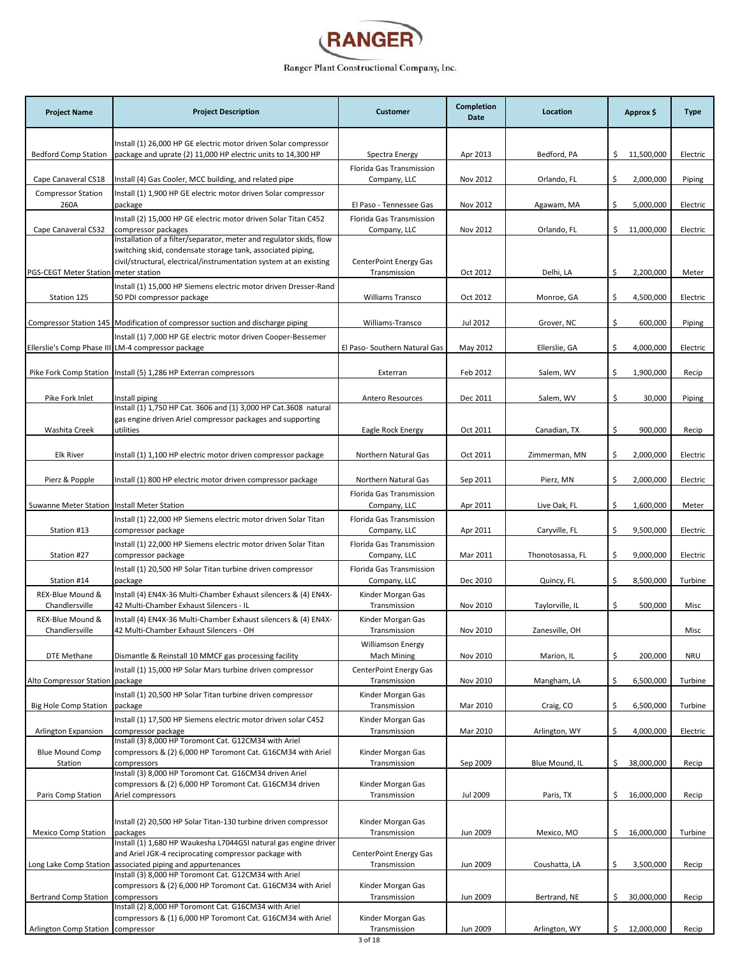

| <b>Project Name</b>                  | <b>Project Description</b>                                                                                                                                                                               | <b>Customer</b>                                | Completion<br>Date | Location         | Approx \$         | <b>Type</b> |
|--------------------------------------|----------------------------------------------------------------------------------------------------------------------------------------------------------------------------------------------------------|------------------------------------------------|--------------------|------------------|-------------------|-------------|
|                                      | Install (1) 26,000 HP GE electric motor driven Solar compressor                                                                                                                                          |                                                |                    |                  |                   |             |
| <b>Bedford Comp Station</b>          | package and uprate (2) 11,000 HP electric units to 14,300 HP                                                                                                                                             | Spectra Energy                                 | Apr 2013           | Bedford, PA      | \$.<br>11,500,000 | Electric    |
| Cape Canaveral CS18                  | Install (4) Gas Cooler, MCC building, and related pipe                                                                                                                                                   | Florida Gas Transmission<br>Company, LLC       | Nov 2012           | Orlando, FL      | \$<br>2,000,000   | Piping      |
| <b>Compressor Station</b><br>260A    | Install (1) 1,900 HP GE electric motor driven Solar compressor<br>package                                                                                                                                | El Paso - Tennessee Gas                        | Nov 2012           | Agawam, MA       | \$<br>5,000,000   | Electric    |
| Cape Canaveral CS32                  | Install (2) 15,000 HP GE electric motor driven Solar Titan C452<br>compressor packages                                                                                                                   | Florida Gas Transmission<br>Company, LLC       | Nov 2012           | Orlando, FL      | \$.<br>11,000,000 | Electric    |
|                                      | Installation of a filter/separator, meter and regulator skids, flow<br>switching skid, condensate storage tank, associated piping,<br>civil/structural, electrical/instrumentation system at an existing | <b>CenterPoint Energy Gas</b>                  |                    |                  |                   |             |
| PGS-CEGT Meter Station meter station |                                                                                                                                                                                                          | Transmission                                   | Oct 2012           | Delhi, LA        | \$<br>2,200,000   | Meter       |
| Station 125                          | Install (1) 15,000 HP Siemens electric motor driven Dresser-Rand<br>50 PDI compressor package                                                                                                            | <b>Williams Transco</b>                        | Oct 2012           | Monroe, GA       | \$<br>4,500,000   | Electric    |
|                                      | Compressor Station 145   Modification of compressor suction and discharge piping                                                                                                                         | Williams-Transco                               | Jul 2012           | Grover, NC       | \$<br>600,000     | Piping      |
|                                      | Install (1) 7,000 HP GE electric motor driven Cooper-Bessemer<br>Ellerslie's Comp Phase III LM-4 compressor package                                                                                      | El Paso- Southern Natural Gas                  | May 2012           | Ellerslie, GA    | \$<br>4,000,000   | Electric    |
|                                      |                                                                                                                                                                                                          |                                                |                    |                  |                   |             |
|                                      | Pike Fork Comp Station   Install (5) 1,286 HP Exterran compressors                                                                                                                                       | Exterran                                       | Feb 2012           | Salem, WV        | \$<br>1,900,000   | Recip       |
| Pike Fork Inlet                      | Install piping                                                                                                                                                                                           | <b>Antero Resources</b>                        | Dec 2011           | Salem, WV        | \$<br>30,000      | Piping      |
|                                      | Install (1) 1,750 HP Cat. 3606 and (1) 3,000 HP Cat.3608 natural<br>gas engine driven Ariel compressor packages and supporting                                                                           |                                                |                    |                  |                   |             |
| Washita Creek                        | utilities                                                                                                                                                                                                | Eagle Rock Energy                              | Oct 2011           | Canadian, TX     | \$<br>900,000     | Recip       |
| <b>Elk River</b>                     | Install (1) 1,100 HP electric motor driven compressor package                                                                                                                                            | Northern Natural Gas                           | Oct 2011           | Zimmerman, MN    | \$<br>2,000,000   | Electric    |
| Pierz & Popple                       | Install (1) 800 HP electric motor driven compressor package                                                                                                                                              | Northern Natural Gas                           | Sep 2011           | Pierz, MN        | \$<br>2,000,000   | Electric    |
| Suwanne Meter Station                | Install Meter Station                                                                                                                                                                                    | Florida Gas Transmission<br>Company, LLC       | Apr 2011           | Live Oak, FL     | \$<br>1,600,000   | Meter       |
|                                      | Install (1) 22,000 HP Siemens electric motor driven Solar Titan                                                                                                                                          | Florida Gas Transmission                       |                    |                  | \$                |             |
| Station #13                          | compressor package<br>Install (1) 22,000 HP Siemens electric motor driven Solar Titan                                                                                                                    | Company, LLC<br>Florida Gas Transmission       | Apr 2011           | Caryville, FL    | 9,500,000         | Electric    |
| Station #27                          | compressor package<br>Install (1) 20,500 HP Solar Titan turbine driven compressor                                                                                                                        | Company, LLC<br>Florida Gas Transmission       | Mar 2011           | Thonotosassa, FL | \$<br>9,000,000   | Electric    |
| Station #14                          | package                                                                                                                                                                                                  | Company, LLC                                   | Dec 2010           | Quincy, FL       | \$<br>8,500,000   | Turbine     |
| REX-Blue Mound &<br>Chandlersville   | Install (4) EN4X-36 Multi-Chamber Exhaust silencers & (4) EN4X-<br>42 Multi-Chamber Exhaust Silencers - IL                                                                                               | Kinder Morgan Gas<br>Transmission              | Nov 2010           | Taylorville, IL  | \$<br>500,000     | Misc        |
| REX-Blue Mound &<br>Chandlersville   | Install (4) EN4X-36 Multi-Chamber Exhaust silencers & (4) EN4X-<br>42 Multi-Chamber Exhaust Silencers - OH                                                                                               | Kinder Morgan Gas<br>Transmission              | Nov 2010           | Zanesville, OH   |                   | Misc        |
| <b>DTE Methane</b>                   | Dismantle & Reinstall 10 MMCF gas processing facility                                                                                                                                                    | <b>Williamson Energy</b><br><b>Mach Mining</b> | Nov 2010           | Marion, IL       | \$<br>200,000     | <b>NRU</b>  |
|                                      | Install (1) 15,000 HP Solar Mars turbine driven compressor                                                                                                                                               | CenterPoint Energy Gas                         |                    |                  |                   |             |
| Alto Compressor Station package      | Install (1) 20,500 HP Solar Titan turbine driven compressor                                                                                                                                              | Transmission<br>Kinder Morgan Gas              | Nov 2010           | Mangham, LA      | \$<br>6,500,000   | Turbine     |
| <b>Big Hole Comp Station</b>         | package                                                                                                                                                                                                  | Transmission                                   | Mar 2010           | Craig, CO        | \$<br>6,500,000   | Turbine     |
| Arlington Expansion                  | Install (1) 17,500 HP Siemens electric motor driven solar C452<br>compressor package                                                                                                                     | Kinder Morgan Gas<br>Transmission              | Mar 2010           | Arlington, WY    | \$<br>4,000,000   | Electric    |
| <b>Blue Mound Comp</b>               | Install (3) 8,000 HP Toromont Cat. G12CM34 with Ariel<br>compressors & (2) 6,000 HP Toromont Cat. G16CM34 with Ariel                                                                                     | Kinder Morgan Gas                              |                    |                  |                   |             |
| Station                              | compressors<br>Install (3) 8,000 HP Toromont Cat. G16CM34 driven Ariel                                                                                                                                   | Transmission                                   | Sep 2009           | Blue Mound, IL   | \$<br>38,000,000  | Recip       |
|                                      | compressors & (2) 6,000 HP Toromont Cat. G16CM34 driven                                                                                                                                                  | Kinder Morgan Gas                              |                    |                  |                   |             |
| Paris Comp Station                   | Ariel compressors                                                                                                                                                                                        | Transmission                                   | Jul 2009           | Paris, TX        | \$.<br>16,000,000 | Recip       |
| <b>Mexico Comp Station</b>           | Install (2) 20,500 HP Solar Titan-130 turbine driven compressor<br>packages                                                                                                                              | Kinder Morgan Gas<br>Transmission              | Jun 2009           | Mexico, MO       | \$<br>16,000,000  | Turbine     |
|                                      | Install (1) 1,680 HP Waukesha L7044GSI natural gas engine driver<br>and Ariel JGK-4 reciprocating compressor package with                                                                                | CenterPoint Energy Gas                         |                    |                  |                   |             |
| Long Lake Comp Station               | associated piping and appurtenances<br>Install (3) 8,000 HP Toromont Cat. G12CM34 with Ariel                                                                                                             | Transmission                                   | Jun 2009           | Coushatta, LA    | \$<br>3,500,000   | Recip       |
| <b>Bertrand Comp Station</b>         | compressors & (2) 6,000 HP Toromont Cat. G16CM34 with Ariel<br>compressors                                                                                                                               | Kinder Morgan Gas<br>Transmission              | Jun 2009           | Bertrand, NE     | \$<br>30,000,000  | Recip       |
|                                      | Install (2) 8,000 HP Toromont Cat. G16CM34 with Ariel<br>compressors & (1) 6,000 HP Toromont Cat. G16CM34 with Ariel                                                                                     | Kinder Morgan Gas                              |                    |                  |                   |             |
| Arlington Comp Station               | compressor                                                                                                                                                                                               | Transmission                                   | Jun 2009           | Arlington, WY    | Ś.<br>12,000,000  | Recip       |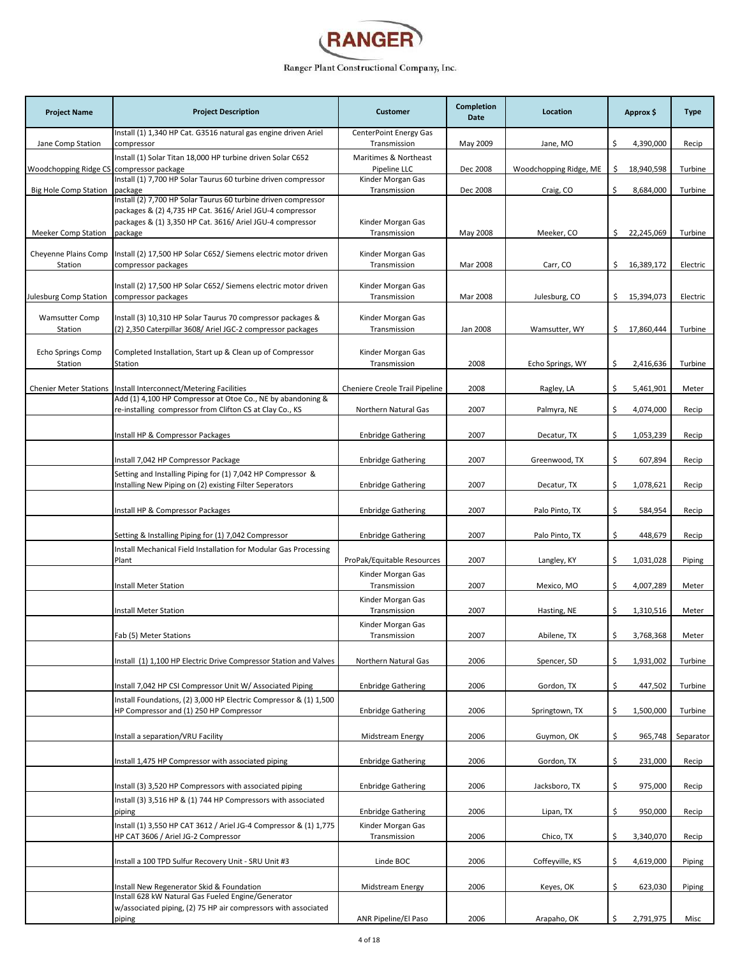

| <b>Project Name</b>                 | <b>Project Description</b>                                                                                                  | <b>Customer</b>                        | <b>Completion</b><br><b>Date</b> | Location               | Approx \$         | <b>Type</b> |
|-------------------------------------|-----------------------------------------------------------------------------------------------------------------------------|----------------------------------------|----------------------------------|------------------------|-------------------|-------------|
| Jane Comp Station                   | Install (1) 1,340 HP Cat. G3516 natural gas engine driven Ariel<br>compressor                                               | CenterPoint Energy Gas<br>Transmission | May 2009                         | Jane, MO               | \$<br>4,390,000   | Recip       |
| Woodchopping Ridge CS               | Install (1) Solar Titan 18,000 HP turbine driven Solar C652<br>compressor package                                           | Maritimes & Northeast<br>Pipeline LLC  | Dec 2008                         | Woodchopping Ridge, ME | \$<br>18,940,598  | Turbine     |
| <b>Big Hole Comp Station</b>        | Install (1) 7,700 HP Solar Taurus 60 turbine driven compressor<br>package                                                   | Kinder Morgan Gas<br>Transmission      | Dec 2008                         | Craig, CO              | \$<br>8,684,000   | Turbine     |
|                                     | Install (2) 7,700 HP Solar Taurus 60 turbine driven compressor<br>packages & (2) 4,735 HP Cat. 3616/ Ariel JGU-4 compressor |                                        |                                  |                        |                   |             |
| <b>Meeker Comp Station</b>          | packages & (1) 3,350 HP Cat. 3616/ Ariel JGU-4 compressor<br>package                                                        | Kinder Morgan Gas<br>Transmission      | May 2008                         | Meeker, CO             | 22,245,069<br>\$. | Turbine     |
| Cheyenne Plains Comp<br>Station     | Install (2) 17,500 HP Solar C652/ Siemens electric motor driven<br>compressor packages                                      | Kinder Morgan Gas<br>Transmission      | Mar 2008                         | Carr, CO               | \$.<br>16,389,172 | Electric    |
| Julesburg Comp Station              | Install (2) 17,500 HP Solar C652/ Siemens electric motor driven<br>compressor packages                                      | Kinder Morgan Gas<br>Transmission      | Mar 2008                         | Julesburg, CO          | \$15,394,073      | Electric    |
| <b>Wamsutter Comp</b><br>Station    | Install (3) 10,310 HP Solar Taurus 70 compressor packages &<br>(2) 2,350 Caterpillar 3608/ Ariel JGC-2 compressor packages  | Kinder Morgan Gas<br>Transmission      | Jan 2008                         | Wamsutter, WY          | \$.<br>17,860,444 | Turbine     |
|                                     |                                                                                                                             |                                        |                                  |                        |                   |             |
| <b>Echo Springs Comp</b><br>Station | Completed Installation, Start up & Clean up of Compressor<br>Station                                                        | Kinder Morgan Gas<br>Transmission      | 2008                             | Echo Springs, WY       | \$<br>2,416,636   | Turbine     |
| <b>Chenier Meter Stations</b>       | Install Interconnect/Metering Facilities                                                                                    | Cheniere Creole Trail Pipeline         | 2008                             | Ragley, LA             | \$<br>5,461,901   | Meter       |
|                                     | Add (1) 4,100 HP Compressor at Otoe Co., NE by abandoning &                                                                 |                                        | 2007                             |                        |                   |             |
|                                     | re-installing compressor from Clifton CS at Clay Co., KS                                                                    | Northern Natural Gas                   |                                  | Palmyra, NE            | \$<br>4,074,000   | Recip       |
|                                     | Install HP & Compressor Packages                                                                                            | <b>Enbridge Gathering</b>              | 2007                             | Decatur, TX            | \$<br>1,053,239   | Recip       |
|                                     | Install 7,042 HP Compressor Package                                                                                         | <b>Enbridge Gathering</b>              | 2007                             | Greenwood, TX          | \$<br>607,894     | Recip       |
|                                     | Setting and Installing Piping for (1) 7,042 HP Compressor &<br>Installing New Piping on (2) existing Filter Seperators      | <b>Enbridge Gathering</b>              | 2007                             | Decatur, TX            | \$<br>1,078,621   | Recip       |
|                                     | Install HP & Compressor Packages                                                                                            | <b>Enbridge Gathering</b>              | 2007                             | Palo Pinto, TX         | \$<br>584,954     | Recip       |
|                                     | Setting & Installing Piping for (1) 7,042 Compressor                                                                        | <b>Enbridge Gathering</b>              | 2007                             | Palo Pinto, TX         | \$<br>448,679     | Recip       |
|                                     | Install Mechanical Field Installation for Modular Gas Processing<br>Plant                                                   | ProPak/Equitable Resources             | 2007                             | Langley, KY            | \$<br>1,031,028   | Piping      |
|                                     |                                                                                                                             | Kinder Morgan Gas                      |                                  |                        |                   |             |
|                                     | Install Meter Station                                                                                                       | Transmission                           | 2007                             | Mexico, MO             | \$<br>4,007,289   | Meter       |
|                                     | Install Meter Station                                                                                                       | Kinder Morgan Gas<br>Transmission      | 2007                             | Hasting, NE            | \$<br>1,310,516   | Meter       |
|                                     | Fab (5) Meter Stations                                                                                                      | Kinder Morgan Gas<br>Transmission      | 2007                             | Abilene. TX            | Ś.<br>3.768.368   | Meter       |
|                                     | Install (1) 1,100 HP Electric Drive Compressor Station and Valves                                                           | Northern Natural Gas                   | 2006                             | Spencer, SD            | 1,931,002<br>\$   | Turbine     |
|                                     | Install 7,042 HP CSI Compressor Unit W/ Associated Piping                                                                   | <b>Enbridge Gathering</b>              | 2006                             | Gordon, TX             | \$<br>447,502     | Turbine     |
|                                     | Install Foundations, (2) 3,000 HP Electric Compressor & (1) 1,500<br>HP Compressor and (1) 250 HP Compressor                | <b>Enbridge Gathering</b>              | 2006                             | Springtown, TX         | \$<br>1,500,000   | Turbine     |
|                                     | Install a separation/VRU Facility                                                                                           | <b>Midstream Energy</b>                | 2006                             | Guymon, OK             | \$<br>965,748     | Separator   |
|                                     |                                                                                                                             |                                        |                                  |                        |                   |             |
|                                     | Install 1,475 HP Compressor with associated piping                                                                          | <b>Enbridge Gathering</b>              | 2006                             | Gordon, TX             | \$<br>231,000     | Recip       |
|                                     | Install (3) 3,520 HP Compressors with associated piping<br>Install (3) 3,516 HP & (1) 744 HP Compressors with associated    | <b>Enbridge Gathering</b>              | 2006                             | Jacksboro, TX          | \$<br>975,000     | Recip       |
|                                     | piping                                                                                                                      | <b>Enbridge Gathering</b>              | 2006                             | Lipan, TX              | \$<br>950,000     | Recip       |
|                                     | Install (1) 3,550 HP CAT 3612 / Ariel JG-4 Compressor & (1) 1,775<br>HP CAT 3606 / Ariel JG-2 Compressor                    | Kinder Morgan Gas<br>Transmission      | 2006                             | Chico, TX              | \$<br>3,340,070   | Recip       |
|                                     | Install a 100 TPD Sulfur Recovery Unit - SRU Unit #3                                                                        | Linde BOC                              | 2006                             | Coffeyville, KS        | \$<br>4,619,000   | Piping      |
|                                     | Install New Regenerator Skid & Foundation<br>Install 628 kW Natural Gas Fueled Engine/Generator                             | Midstream Energy                       | 2006                             | Keyes, OK              | \$<br>623,030     | Piping      |
|                                     | w/associated piping, (2) 75 HP air compressors with associated<br>piping                                                    | ANR Pipeline/El Paso                   | 2006                             | Arapaho, OK            | \$<br>2,791,975   | Misc        |
|                                     |                                                                                                                             |                                        |                                  |                        |                   |             |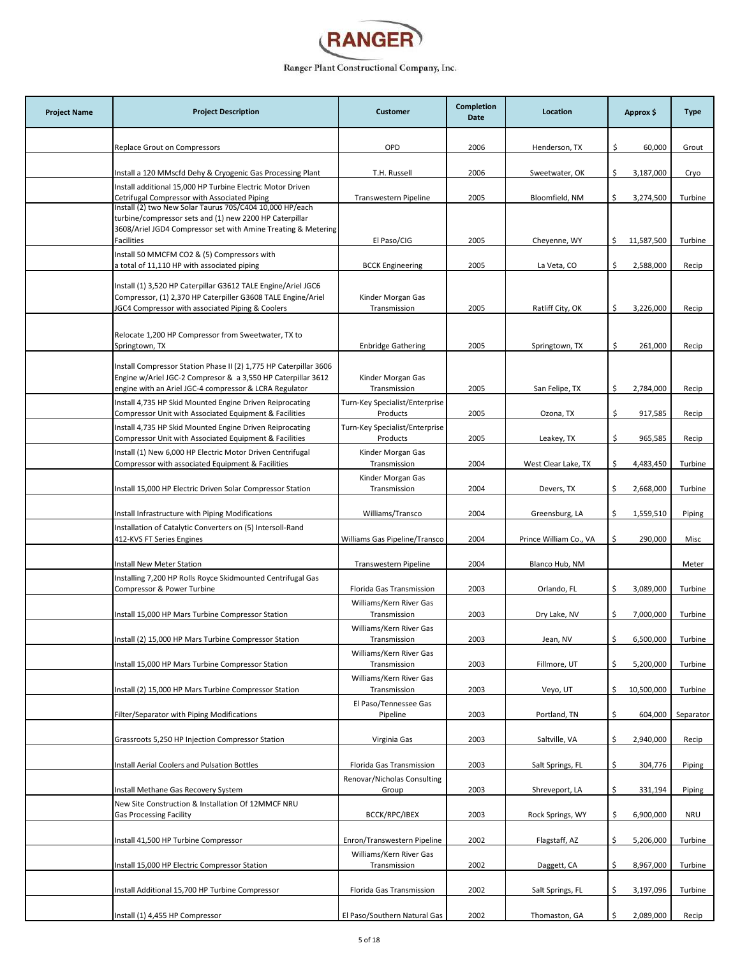

| <b>Project Name</b> | <b>Project Description</b>                                                                                                                                                                                                       | <b>Customer</b>                                              | Completion<br>Date | Location                        | Approx \$                          | <b>Type</b>    |
|---------------------|----------------------------------------------------------------------------------------------------------------------------------------------------------------------------------------------------------------------------------|--------------------------------------------------------------|--------------------|---------------------------------|------------------------------------|----------------|
|                     | Replace Grout on Compressors                                                                                                                                                                                                     | OPD                                                          | 2006               | Henderson, TX                   | \$<br>60,000                       | Grout          |
|                     | Install a 120 MMscfd Dehy & Cryogenic Gas Processing Plant                                                                                                                                                                       | T.H. Russell                                                 | 2006               | Sweetwater, OK                  | \$<br>3,187,000                    | Cryo           |
|                     | Install additional 15,000 HP Turbine Electric Motor Driven                                                                                                                                                                       |                                                              |                    |                                 |                                    |                |
|                     | Cetrifugal Compressor with Associated Piping<br>Install (2) two New Solar Taurus 70S/C404 10,000 HP/each<br>turbine/compressor sets and (1) new 2200 HP Caterpillar                                                              | Transwestern Pipeline                                        | 2005               | Bloomfield, NM                  | \$<br>3,274,500                    | Turbine        |
|                     | 3608/Ariel JGD4 Compressor set with Amine Treating & Metering<br><b>Facilities</b>                                                                                                                                               | El Paso/CIG                                                  | 2005               | Cheyenne, WY                    | 11,587,500<br>\$                   | Turbine        |
|                     | Install 50 MMCFM CO2 & (5) Compressors with                                                                                                                                                                                      |                                                              |                    |                                 |                                    |                |
|                     | a total of 11,110 HP with associated piping<br>Install (1) 3,520 HP Caterpillar G3612 TALE Engine/Ariel JGC6<br>Compressor, (1) 2,370 HP Caterpiller G3608 TALE Engine/Ariel<br>JGC4 Compressor with associated Piping & Coolers | <b>BCCK Engineering</b><br>Kinder Morgan Gas<br>Transmission | 2005<br>2005       | La Veta, CO<br>Ratliff City, OK | \$<br>2,588,000<br>\$<br>3,226,000 | Recip<br>Recip |
|                     | Relocate 1,200 HP Compressor from Sweetwater, TX to                                                                                                                                                                              |                                                              |                    |                                 |                                    |                |
|                     | Springtown, TX                                                                                                                                                                                                                   | <b>Enbridge Gathering</b>                                    | 2005               | Springtown, TX                  | \$<br>261,000                      | Recip          |
|                     | Install Compressor Station Phase II (2) 1,775 HP Caterpillar 3606<br>Engine w/Ariel JGC-2 Compresor & a 3,550 HP Caterpillar 3612<br>engine with an Ariel JGC-4 compressor & LCRA Regulator                                      | Kinder Morgan Gas<br>Transmission                            | 2005               | San Felipe, TX                  | \$<br>2,784,000                    | Recip          |
|                     | Install 4,735 HP Skid Mounted Engine Driven Reiprocating<br>Compressor Unit with Associated Equipment & Facilities                                                                                                               | Turn-Key Specialist/Enterprise<br>Products                   | 2005               | Ozona, TX                       | \$<br>917,585                      | Recip          |
|                     | Install 4,735 HP Skid Mounted Engine Driven Reiprocating<br>Compressor Unit with Associated Equipment & Facilities                                                                                                               | Turn-Key Specialist/Enterprise<br>Products                   | 2005               | Leakey, TX                      | \$<br>965,585                      | Recip          |
|                     | Install (1) New 6,000 HP Electric Motor Driven Centrifugal<br>Compressor with associated Equipment & Facilities                                                                                                                  | Kinder Morgan Gas<br>Transmission                            | 2004               | West Clear Lake, TX             | \$<br>4,483,450                    | Turbine        |
|                     | Install 15,000 HP Electric Driven Solar Compressor Station                                                                                                                                                                       | Kinder Morgan Gas<br>Transmission                            | 2004               | Devers, TX                      | \$<br>2,668,000                    | Turbine        |
|                     | Install Infrastructure with Piping Modifications                                                                                                                                                                                 | Williams/Transco                                             | 2004               | Greensburg, LA                  | \$<br>1,559,510                    | Piping         |
|                     | Installation of Catalytic Converters on (5) Intersoll-Rand<br>412-KVS FT Series Engines                                                                                                                                          | Williams Gas Pipeline/Transco                                | 2004               | Prince William Co., VA          | \$<br>290,000                      | Misc           |
|                     | Install New Meter Station                                                                                                                                                                                                        | Transwestern Pipeline                                        | 2004               | Blanco Hub, NM                  |                                    | Meter          |
|                     | Installing 7,200 HP Rolls Royce Skidmounted Centrifugal Gas<br>Compressor & Power Turbine                                                                                                                                        | Florida Gas Transmission                                     | 2003               | Orlando, FL                     | \$<br>3,089,000                    | Turbine        |
|                     | Install 15,000 HP Mars Turbine Compressor Station                                                                                                                                                                                | Williams/Kern River Gas<br>Transmission                      | 2003               | Dry Lake, NV                    | 7,000,000<br>\$                    | Turbine        |
|                     | Install (2) 15,000 HP Mars Turbine Compressor Station                                                                                                                                                                            | Williams/Kern River Gas<br>Transmission                      | 2003               | Jean, NV                        | 6,500,000                          | Turbine        |
|                     | Install 15,000 HP Mars Turbine Compressor Station                                                                                                                                                                                | Williams/Kern River Gas<br>Transmission                      | 2003               | Fillmore, UT                    | \$<br>5,200,000                    | Turbine        |
|                     | Install (2) 15,000 HP Mars Turbine Compressor Station                                                                                                                                                                            | Williams/Kern River Gas<br>Transmission                      | 2003               | Veyo, UT                        | 10,500,000<br>\$                   | Turbine        |
|                     | Filter/Separator with Piping Modifications                                                                                                                                                                                       | El Paso/Tennessee Gas<br>Pipeline                            | 2003               | Portland, TN                    | \$<br>604,000                      | Separator      |
|                     | Grassroots 5,250 HP Injection Compressor Station                                                                                                                                                                                 | Virginia Gas                                                 | 2003               | Saltville, VA                   | 2,940,000<br>\$                    | Recip          |
|                     | Install Aerial Coolers and Pulsation Bottles                                                                                                                                                                                     | Florida Gas Transmission                                     | 2003               | Salt Springs, FL                | \$<br>304,776                      | Piping         |
|                     |                                                                                                                                                                                                                                  | Renovar/Nicholas Consulting                                  |                    |                                 |                                    |                |
|                     | Install Methane Gas Recovery System<br>New Site Construction & Installation Of 12MMCF NRU                                                                                                                                        | Group                                                        | 2003               | Shreveport, LA                  | \$<br>331,194                      | Piping         |
|                     | <b>Gas Processing Facility</b>                                                                                                                                                                                                   | BCCK/RPC/IBEX                                                | 2003               | Rock Springs, WY                | \$<br>6,900,000                    | <b>NRU</b>     |
|                     | Install 41,500 HP Turbine Compressor                                                                                                                                                                                             | Enron/Transwestern Pipeline                                  | 2002               | Flagstaff, AZ                   | \$<br>5,206,000                    | Turbine        |
|                     | Install 15,000 HP Electric Compressor Station                                                                                                                                                                                    | Williams/Kern River Gas<br>Transmission                      | 2002               | Daggett, CA                     | \$<br>8,967,000                    | Turbine        |
|                     | Install Additional 15,700 HP Turbine Compressor                                                                                                                                                                                  | Florida Gas Transmission                                     | 2002               | Salt Springs, FL                | \$<br>3,197,096                    | Turbine        |
|                     | Install (1) 4,455 HP Compressor                                                                                                                                                                                                  | El Paso/Southern Natural Gas                                 | 2002               | Thomaston, GA                   | 2,089,000<br>Ś.                    | Recip          |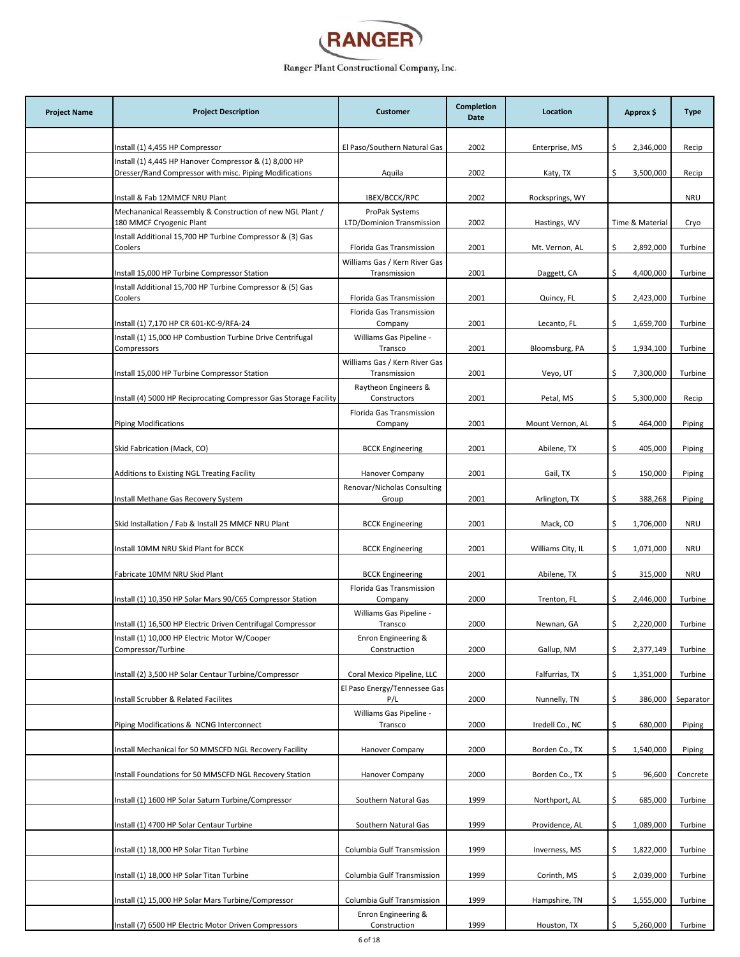

| <b>Project Name</b> | <b>Project Description</b>                                                                                        | <b>Customer</b>                               | <b>Completion</b><br>Date | Location          | Approx \$        | <b>Type</b> |
|---------------------|-------------------------------------------------------------------------------------------------------------------|-----------------------------------------------|---------------------------|-------------------|------------------|-------------|
|                     | Install (1) 4,455 HP Compressor                                                                                   | El Paso/Southern Natural Gas                  | 2002                      | Enterprise, MS    | \$<br>2,346,000  | Recip       |
|                     | Install (1) 4,445 HP Hanover Compressor & (1) 8,000 HP<br>Dresser/Rand Compressor with misc. Piping Modifications | Aquila                                        | 2002                      | Katy, TX          | \$<br>3,500,000  | Recip       |
|                     | Install & Fab 12MMCF NRU Plant                                                                                    | IBEX/BCCK/RPC                                 | 2002                      | Rocksprings, WY   |                  | <b>NRU</b>  |
|                     | Mechananical Reassembly & Construction of new NGL Plant /<br>180 MMCF Cryogenic Plant                             | ProPak Systems<br>LTD/Dominion Transmission   | 2002                      | Hastings, WV      | Time & Material  | Cryo        |
|                     | Install Additional 15,700 HP Turbine Compressor & (3) Gas<br>Coolers                                              | Florida Gas Transmission                      | 2001                      | Mt. Vernon, AL    | \$<br>2,892,000  | Turbine     |
|                     | Install 15,000 HP Turbine Compressor Station                                                                      | Williams Gas / Kern River Gas<br>Transmission | 2001                      | Daggett, CA       | \$<br>4,400,000  | Turbine     |
|                     | Install Additional 15,700 HP Turbine Compressor & (5) Gas<br>Coolers                                              | Florida Gas Transmission                      | 2001                      | Quincy, FL        | 2,423,000<br>\$  | Turbine     |
|                     | Install (1) 7,170 HP CR 601-KC-9/RFA-24                                                                           | Florida Gas Transmission<br>Company           | 2001                      | Lecanto, FL       | 1,659,700<br>\$  | Turbine     |
|                     | Install (1) 15,000 HP Combustion Turbine Drive Centrifugal                                                        | Williams Gas Pipeline -                       |                           |                   |                  |             |
|                     | Compressors                                                                                                       | Transco<br>Williams Gas / Kern River Gas      | 2001                      | Bloomsburg, PA    | \$<br>1,934,100  | Turbine     |
|                     | Install 15,000 HP Turbine Compressor Station                                                                      | Transmission<br>Raytheon Engineers &          | 2001                      | Veyo, UT          | \$<br>7,300,000  | Turbine     |
|                     | Install (4) 5000 HP Reciprocating Compressor Gas Storage Facility                                                 | Constructors                                  | 2001                      | Petal, MS         | 5,300,000<br>\$  | Recip       |
|                     | <b>Piping Modifications</b>                                                                                       | Florida Gas Transmission<br>Company           | 2001                      | Mount Vernon, AL  | \$<br>464,000    | Piping      |
|                     | Skid Fabrication (Mack, CO)                                                                                       | <b>BCCK Engineering</b>                       | 2001                      | Abilene, TX       | 405,000<br>\$.   | Piping      |
|                     | Additions to Existing NGL Treating Facility                                                                       | Hanover Company                               | 2001                      | Gail, TX          | \$<br>150,000    | Piping      |
|                     | Install Methane Gas Recovery System                                                                               | Renovar/Nicholas Consulting<br>Group          | 2001                      | Arlington, TX     | \$<br>388,268    | Piping      |
|                     | Skid Installation / Fab & Install 25 MMCF NRU Plant                                                               | <b>BCCK Engineering</b>                       | 2001                      | Mack, CO          | 1,706,000<br>\$  | <b>NRU</b>  |
|                     | Install 10MM NRU Skid Plant for BCCK                                                                              | <b>BCCK Engineering</b>                       | 2001                      | Williams City, IL | \$<br>1,071,000  | <b>NRU</b>  |
|                     | Fabricate 10MM NRU Skid Plant                                                                                     | <b>BCCK Engineering</b>                       | 2001                      | Abilene, TX       | \$<br>315,000    | <b>NRU</b>  |
|                     | Install (1) 10,350 HP Solar Mars 90/C65 Compressor Station                                                        | Florida Gas Transmission<br>Company           | 2000                      | Trenton, FL       | \$<br>2,446,000  | Turbine     |
|                     | Install (1) 16,500 HP Electric Driven Centrifugal Compressor                                                      | Williams Gas Pipeline -<br>Transco            | 2000                      | Newnan, GA        | 2,220,000<br>\$  | Turbine     |
|                     | Install (1) 10,000 HP Electric Motor W/Cooper<br>Compressor/Turbine                                               | Enron Engineering &<br>Construction           | 2000                      | Gallup, NM        | \$<br>2,377,149  | Turbine     |
|                     | Install (2) 3,500 HP Solar Centaur Turbine/Compressor                                                             | Coral Mexico Pipeline, LLC                    | 2000                      | Falfurrias, TX    | 1,351,000<br>\$. | Turbine     |
|                     | Install Scrubber & Related Facilites                                                                              | El Paso Energy/Tennessee Gas<br>P/L           | 2000                      | Nunnelly, TN      | \$<br>386,000    | Separator   |
|                     | Piping Modifications & NCNG Interconnect                                                                          | Williams Gas Pipeline -<br>Transco            | 2000                      | Iredell Co., NC   | \$.<br>680,000   | Piping      |
|                     |                                                                                                                   |                                               |                           |                   |                  |             |
|                     | Install Mechanical for 50 MMSCFD NGL Recovery Facility                                                            | Hanover Company                               | 2000                      | Borden Co., TX    | \$<br>1,540,000  | Piping      |
|                     | Install Foundations for 50 MMSCFD NGL Recovery Station                                                            | <b>Hanover Company</b>                        | 2000                      | Borden Co., TX    | \$<br>96,600     | Concrete    |
|                     | Install (1) 1600 HP Solar Saturn Turbine/Compressor                                                               | Southern Natural Gas                          | 1999                      | Northport, AL     | \$<br>685,000    | Turbine     |
|                     | Install (1) 4700 HP Solar Centaur Turbine                                                                         | Southern Natural Gas                          | 1999                      | Providence, AL    | Ś.<br>1,089,000  | Turbine     |
|                     | Install (1) 18,000 HP Solar Titan Turbine                                                                         | Columbia Gulf Transmission                    | 1999                      | Inverness, MS     | \$.<br>1,822,000 | Turbine     |
|                     | Install (1) 18,000 HP Solar Titan Turbine                                                                         | Columbia Gulf Transmission                    | 1999                      | Corinth, MS       | \$<br>2,039,000  | Turbine     |
|                     | Install (1) 15,000 HP Solar Mars Turbine/Compressor                                                               | Columbia Gulf Transmission                    | 1999                      | Hampshire, TN     | \$<br>1,555,000  | Turbine     |
|                     | Install (7) 6500 HP Electric Motor Driven Compressors                                                             | Enron Engineering &<br>Construction           | 1999                      | Houston, TX       | \$.<br>5,260,000 | Turbine     |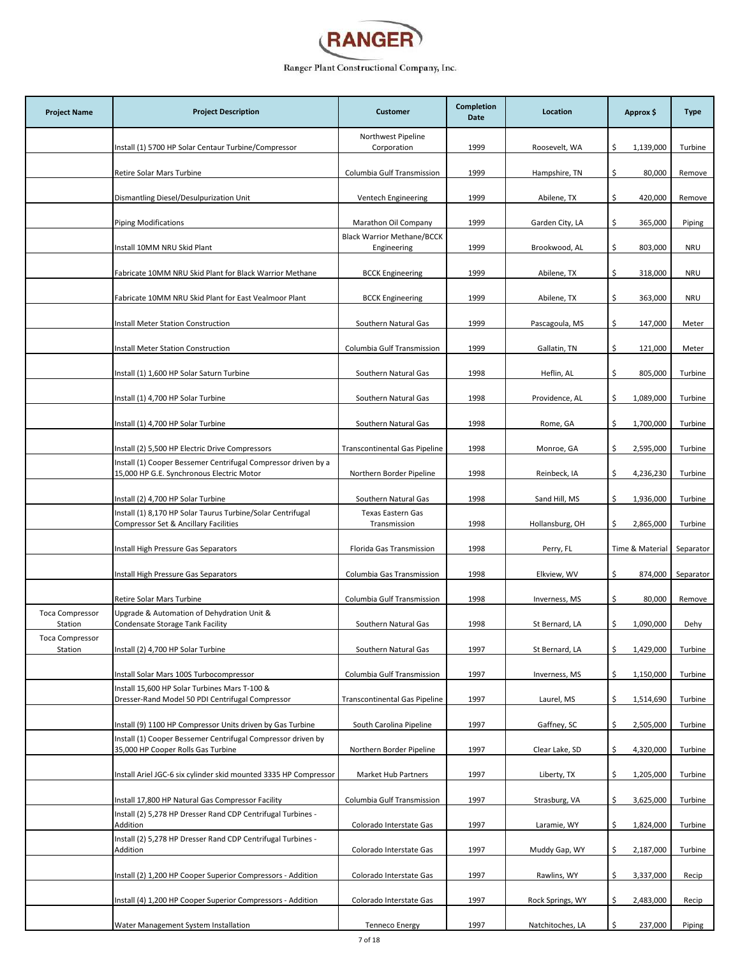

| <b>Project Name</b>               | <b>Project Description</b>                                                                                  | <b>Customer</b>                                  | <b>Completion</b><br>Date | Location         | Approx \$        | <b>Type</b> |
|-----------------------------------|-------------------------------------------------------------------------------------------------------------|--------------------------------------------------|---------------------------|------------------|------------------|-------------|
|                                   | Install (1) 5700 HP Solar Centaur Turbine/Compressor                                                        | Northwest Pipeline<br>Corporation                | 1999                      | Roosevelt, WA    | \$.<br>1,139,000 | Turbine     |
|                                   | Retire Solar Mars Turbine                                                                                   | Columbia Gulf Transmission                       | 1999                      | Hampshire, TN    | \$<br>80,000     | Remove      |
|                                   | Dismantling Diesel/Desulpurization Unit                                                                     | Ventech Engineering                              | 1999                      | Abilene, TX      | \$.<br>420,000   | Remove      |
|                                   | <b>Piping Modifications</b>                                                                                 | Marathon Oil Company                             | 1999                      | Garden City, LA  | 365,000<br>\$.   | Piping      |
|                                   | Install 10MM NRU Skid Plant                                                                                 | <b>Black Warrior Methane/BCCK</b><br>Engineering | 1999                      | Brookwood, AL    | \$<br>803,000    | <b>NRU</b>  |
|                                   | Fabricate 10MM NRU Skid Plant for Black Warrior Methane                                                     | <b>BCCK Engineering</b>                          | 1999                      | Abilene, TX      | \$<br>318,000    | <b>NRU</b>  |
|                                   | Fabricate 10MM NRU Skid Plant for East Vealmoor Plant                                                       | <b>BCCK Engineering</b>                          | 1999                      | Abilene, TX      | \$<br>363,000    | <b>NRU</b>  |
|                                   | Install Meter Station Construction                                                                          | Southern Natural Gas                             | 1999                      | Pascagoula, MS   | \$<br>147,000    | Meter       |
|                                   | <b>Install Meter Station Construction</b>                                                                   | Columbia Gulf Transmission                       | 1999                      | Gallatin, TN     | \$<br>121,000    | Meter       |
|                                   | Install (1) 1,600 HP Solar Saturn Turbine                                                                   | Southern Natural Gas                             | 1998                      | Heflin, AL       | \$<br>805,000    | Turbine     |
|                                   | Install (1) 4,700 HP Solar Turbine                                                                          | Southern Natural Gas                             | 1998                      | Providence, AL   | 1,089,000<br>\$  | Turbine     |
|                                   | Install (1) 4,700 HP Solar Turbine                                                                          | Southern Natural Gas                             | 1998                      | Rome, GA         | \$<br>1,700,000  | Turbine     |
|                                   | Install (2) 5,500 HP Electric Drive Compressors                                                             | <b>Transcontinental Gas Pipeline</b>             | 1998                      | Monroe, GA       | \$<br>2,595,000  | Turbine     |
|                                   | Install (1) Cooper Bessemer Centrifugal Compressor driven by a<br>15,000 HP G.E. Synchronous Electric Motor | Northern Border Pipeline                         | 1998                      | Reinbeck, IA     | \$<br>4,236,230  | Turbine     |
|                                   | Install (2) 4,700 HP Solar Turbine                                                                          | Southern Natural Gas                             | 1998                      | Sand Hill, MS    | 1,936,000<br>Ŝ.  | Turbine     |
|                                   | Install (1) 8,170 HP Solar Taurus Turbine/Solar Centrifugal<br>Compressor Set & Ancillary Facilities        | <b>Texas Eastern Gas</b><br>Transmission         | 1998                      | Hollansburg, OH  | 2,865,000<br>\$  | Turbine     |
|                                   | Install High Pressure Gas Separators                                                                        | Florida Gas Transmission                         | 1998                      | Perry, FL        | Time & Material  | Separator   |
|                                   | Install High Pressure Gas Separators                                                                        | Columbia Gas Transmission                        | 1998                      | Elkview, WV      | \$<br>874,000    | Separator   |
|                                   | Retire Solar Mars Turbine                                                                                   | Columbia Gulf Transmission                       | 1998                      | Inverness, MS    | \$<br>80,000     | Remove      |
| <b>Toca Compressor</b><br>Station | Upgrade & Automation of Dehydration Unit &<br>Condensate Storage Tank Facility                              | Southern Natural Gas                             | 1998                      | St Bernard, LA   | \$<br>1,090,000  | Dehy        |
| Toca Compressor<br>Station        | Install (2) 4,700 HP Solar Turbine                                                                          | Southern Natural Gas                             | 1997                      | St Bernard, LA   | \$<br>1,429,000  | Turbine     |
|                                   | Install Solar Mars 100S Turbocompressor                                                                     | Columbia Gulf Transmission                       | 1997                      | Inverness, MS    | 1,150,000<br>\$  | Turbine     |
|                                   | Install 15,600 HP Solar Turbines Mars T-100 &<br>Dresser-Rand Model 50 PDI Centrifugal Compressor           | <b>Transcontinental Gas Pipeline</b>             | 1997                      | Laurel, MS       | \$<br>1,514,690  | Turbine     |
|                                   | Install (9) 1100 HP Compressor Units driven by Gas Turbine                                                  | South Carolina Pipeline                          | 1997                      | Gaffney, SC      | \$<br>2,505,000  | Turbine     |
|                                   | Install (1) Cooper Bessemer Centrifugal Compressor driven by<br>35,000 HP Cooper Rolls Gas Turbine          | Northern Border Pipeline                         | 1997                      | Clear Lake, SD   | \$<br>4,320,000  | Turbine     |
|                                   | Install Ariel JGC-6 six cylinder skid mounted 3335 HP Compressor                                            | Market Hub Partners                              | 1997                      | Liberty, TX      | \$<br>1,205,000  | Turbine     |
|                                   | Install 17,800 HP Natural Gas Compressor Facility                                                           | Columbia Gulf Transmission                       | 1997                      | Strasburg, VA    | \$<br>3,625,000  | Turbine     |
|                                   | Install (2) 5,278 HP Dresser Rand CDP Centrifugal Turbines -<br>Addition                                    | Colorado Interstate Gas                          | 1997                      | Laramie, WY      | 1,824,000<br>Ŝ.  | Turbine     |
|                                   | Install (2) 5,278 HP Dresser Rand CDP Centrifugal Turbines -<br>Addition                                    | Colorado Interstate Gas                          | 1997                      | Muddy Gap, WY    | 2,187,000<br>\$  | Turbine     |
|                                   | Install (2) 1,200 HP Cooper Superior Compressors - Addition                                                 | Colorado Interstate Gas                          | 1997                      | Rawlins, WY      | 3,337,000<br>\$  | Recip       |
|                                   | Install (4) 1,200 HP Cooper Superior Compressors - Addition                                                 | Colorado Interstate Gas                          | 1997                      | Rock Springs, WY | \$<br>2,483,000  | Recip       |
|                                   | Water Management System Installation                                                                        | <b>Tenneco Energy</b>                            | 1997                      | Natchitoches, LA | \$<br>237,000    | Piping      |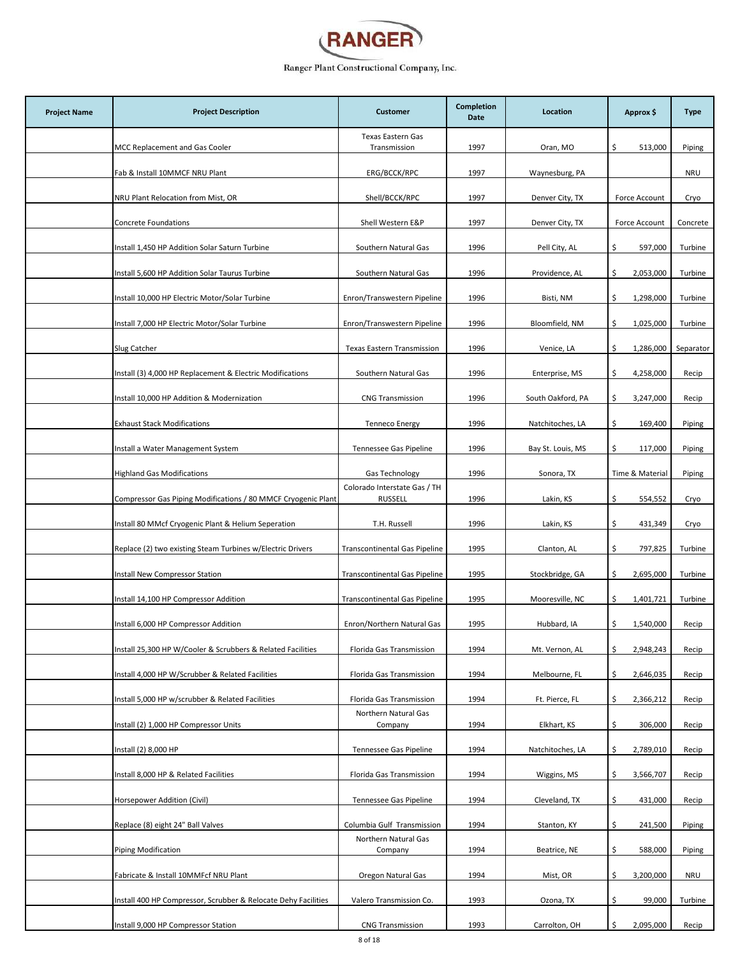

| <b>Project Name</b> | <b>Project Description</b>                                     | <b>Customer</b>                                | <b>Completion</b><br>Date | Location          | Approx \$        | <b>Type</b> |
|---------------------|----------------------------------------------------------------|------------------------------------------------|---------------------------|-------------------|------------------|-------------|
|                     | MCC Replacement and Gas Cooler                                 | <b>Texas Eastern Gas</b><br>Transmission       | 1997                      | Oran, MO          | \$<br>513,000    | Piping      |
|                     | Fab & Install 10MMCF NRU Plant                                 | ERG/BCCK/RPC                                   | 1997                      | Waynesburg, PA    |                  | <b>NRU</b>  |
|                     | NRU Plant Relocation from Mist, OR                             | Shell/BCCK/RPC                                 | 1997                      | Denver City, TX   | Force Account    | Cryo        |
|                     | <b>Concrete Foundations</b>                                    | Shell Western E&P                              | 1997                      | Denver City, TX   | Force Account    | Concrete    |
|                     | Install 1,450 HP Addition Solar Saturn Turbine                 | Southern Natural Gas                           | 1996                      | Pell City, AL     | \$.<br>597,000   | Turbine     |
|                     | Install 5,600 HP Addition Solar Taurus Turbine                 | Southern Natural Gas                           | 1996                      | Providence, AL    | Ś.<br>2,053,000  | Turbine     |
|                     | Install 10,000 HP Electric Motor/Solar Turbine                 | Enron/Transwestern Pipeline                    | 1996                      | Bisti, NM         | 1,298,000<br>\$  | Turbine     |
|                     | Install 7,000 HP Electric Motor/Solar Turbine                  | Enron/Transwestern Pipeline                    | 1996                      | Bloomfield, NM    | \$<br>1,025,000  | Turbine     |
|                     | Slug Catcher                                                   | Texas Eastern Transmission                     | 1996                      | Venice, LA        | 1,286,000<br>\$  | Separator   |
|                     | Install (3) 4,000 HP Replacement & Electric Modifications      | Southern Natural Gas                           | 1996                      | Enterprise, MS    | \$<br>4,258,000  | Recip       |
|                     | Install 10,000 HP Addition & Modernization                     | <b>CNG Transmission</b>                        | 1996                      | South Oakford, PA | \$<br>3,247,000  | Recip       |
|                     | <b>Exhaust Stack Modifications</b>                             | <b>Tenneco Energy</b>                          | 1996                      | Natchitoches, LA  | \$.<br>169,400   | Piping      |
|                     | Install a Water Management System                              | Tennessee Gas Pipeline                         | 1996                      | Bay St. Louis, MS | 117,000<br>\$.   | Piping      |
|                     | <b>Highland Gas Modifications</b>                              | Gas Technology                                 | 1996                      | Sonora, TX        | Time & Material  | Piping      |
|                     | Compressor Gas Piping Modifications / 80 MMCF Cryogenic Plant  | Colorado Interstate Gas / TH<br><b>RUSSELL</b> | 1996                      | Lakin, KS         | \$<br>554,552    | Cryo        |
|                     | Install 80 MMcf Cryogenic Plant & Helium Seperation            | T.H. Russell                                   | 1996                      | Lakin, KS         | \$<br>431,349    | Cryo        |
|                     | Replace (2) two existing Steam Turbines w/Electric Drivers     | <b>Transcontinental Gas Pipeline</b>           | 1995                      | Clanton, AL       | \$.<br>797,825   | Turbine     |
|                     | <b>Install New Compressor Station</b>                          | <b>Transcontinental Gas Pipeline</b>           | 1995                      | Stockbridge, GA   | \$<br>2,695,000  | Turbine     |
|                     | Install 14,100 HP Compressor Addition                          | <b>Transcontinental Gas Pipeline</b>           | 1995                      | Mooresville, NC   | 1,401,721<br>Ŝ.  | Turbine     |
|                     | Install 6,000 HP Compressor Addition                           | Enron/Northern Natural Gas                     | 1995                      | Hubbard, IA       | 1,540,000<br>\$  | Recip       |
|                     | Install 25,300 HP W/Cooler & Scrubbers & Related Facilities    | Florida Gas Transmission                       | 1994                      | Mt. Vernon, AL    | 2,948,243<br>\$  | Recip       |
|                     | Install 4,000 HP W/Scrubber & Related Facilities               | Florida Gas Transmission                       | 1994                      | Melbourne, FL     | \$<br>2,646,035  | Recip       |
|                     | Install 5,000 HP w/scrubber & Related Facilities               | Florida Gas Transmission                       | 1994                      | Ft. Pierce, FL    | \$.<br>2,366,212 | Recip       |
|                     | Install (2) 1,000 HP Compressor Units                          | Northern Natural Gas<br>Company                | 1994                      | Elkhart, KS       | \$.<br>306,000   | Recip       |
|                     | Install (2) 8,000 HP                                           | Tennessee Gas Pipeline                         | 1994                      | Natchitoches, LA  | \$<br>2,789,010  | Recip       |
|                     | Install 8,000 HP & Related Facilities                          | Florida Gas Transmission                       | 1994                      | Wiggins, MS       | 3,566,707<br>\$  | Recip       |
|                     | Horsepower Addition (Civil)                                    | Tennessee Gas Pipeline                         | 1994                      | Cleveland, TX     | \$.<br>431,000   | Recip       |
|                     | Replace (8) eight 24" Ball Valves                              | Columbia Gulf Transmission                     | 1994                      | Stanton, KY       | \$.<br>241,500   | Piping      |
|                     | Piping Modification                                            | Northern Natural Gas<br>Company                | 1994                      | Beatrice, NE      | \$.<br>588,000   | Piping      |
|                     | Fabricate & Install 10MMFcf NRU Plant                          | Oregon Natural Gas                             | 1994                      | Mist, OR          | 3,200,000<br>\$  | <b>NRU</b>  |
|                     | Install 400 HP Compressor, Scrubber & Relocate Dehy Facilities | Valero Transmission Co.                        | 1993                      | Ozona, TX         | \$.<br>99,000    | Turbine     |
|                     | Install 9,000 HP Compressor Station                            | <b>CNG Transmission</b>                        | 1993                      | Carrolton, OH     | 2,095,000<br>\$  | Recip       |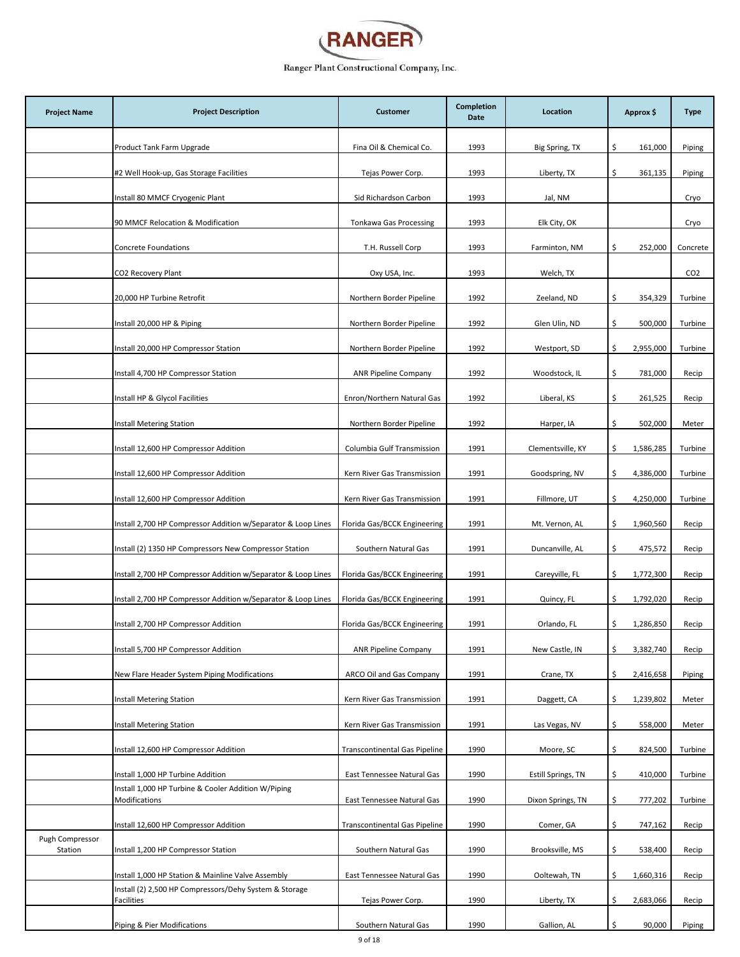

| <b>Project Name</b>        | <b>Project Description</b>                                           | <b>Customer</b>                      | Completion<br>Date | Location           | Approx \$        | <b>Type</b>     |
|----------------------------|----------------------------------------------------------------------|--------------------------------------|--------------------|--------------------|------------------|-----------------|
|                            | Product Tank Farm Upgrade                                            | Fina Oil & Chemical Co.              | 1993               | Big Spring, TX     | \$<br>161,000    | Piping          |
|                            | #2 Well Hook-up, Gas Storage Facilities                              | Tejas Power Corp.                    | 1993               | Liberty, TX        | \$<br>361,135    | Piping          |
|                            | Install 80 MMCF Cryogenic Plant                                      | Sid Richardson Carbon                | 1993               | Jal, NM            |                  | Cryo            |
|                            | 90 MMCF Relocation & Modification                                    | Tonkawa Gas Processing               | 1993               | Elk City, OK       |                  | Cryo            |
|                            | Concrete Foundations                                                 | T.H. Russell Corp                    | 1993               | Farminton, NM      | \$<br>252,000    | Concrete        |
|                            | CO2 Recovery Plant                                                   | Oxy USA, Inc.                        | 1993               | Welch, TX          |                  | CO <sub>2</sub> |
|                            | 20,000 HP Turbine Retrofit                                           | Northern Border Pipeline             | 1992               | Zeeland, ND        | \$<br>354,329    | Turbine         |
|                            | Install 20,000 HP & Piping                                           | Northern Border Pipeline             | 1992               | Glen Ulin, ND      | \$.<br>500,000   | Turbine         |
|                            | Install 20,000 HP Compressor Station                                 | Northern Border Pipeline             | 1992               | Westport, SD       | 2,955,000<br>\$  | Turbine         |
|                            | Install 4,700 HP Compressor Station                                  | <b>ANR Pipeline Company</b>          | 1992               | Woodstock, IL      | \$<br>781,000    | Recip           |
|                            | Install HP & Glycol Facilities                                       | Enron/Northern Natural Gas           | 1992               | Liberal, KS        | \$<br>261,525    | Recip           |
|                            | Install Metering Station                                             | Northern Border Pipeline             | 1992               | Harper, IA         | \$.<br>502,000   | Meter           |
|                            | Install 12,600 HP Compressor Addition                                | Columbia Gulf Transmission           | 1991               | Clementsville, KY  | \$<br>1,586,285  | Turbine         |
|                            | Install 12,600 HP Compressor Addition                                | Kern River Gas Transmission          | 1991               | Goodspring, NV     | \$<br>4,386,000  | Turbine         |
|                            | Install 12,600 HP Compressor Addition                                | Kern River Gas Transmission          | 1991               | Fillmore, UT       | 4,250,000<br>\$  | Turbine         |
|                            | Install 2,700 HP Compressor Addition w/Separator & Loop Lines        | Florida Gas/BCCK Engineering         | 1991               | Mt. Vernon, AL     | \$<br>1,960,560  | Recip           |
|                            | Install (2) 1350 HP Compressors New Compressor Station               | Southern Natural Gas                 | 1991               | Duncanville, AL    | \$<br>475,572    | Recip           |
|                            | Install 2,700 HP Compressor Addition w/Separator & Loop Lines        | Florida Gas/BCCK Engineering         | 1991               | Careyville, FL     | \$<br>1,772,300  | Recip           |
|                            | Install 2,700 HP Compressor Addition w/Separator & Loop Lines        | Florida Gas/BCCK Engineering         | 1991               | Quincy, FL         | \$<br>1,792,020  | Recip           |
|                            | Install 2,700 HP Compressor Addition                                 | Florida Gas/BCCK Engineering         | 1991               | Orlando, FL        | 1,286,850<br>\$  | Recip           |
|                            | Install 5,700 HP Compressor Addition                                 | <b>ANR Pipeline Company</b>          | 1991               | New Castle, IN     | \$<br>3,382,740  | Recip           |
|                            | New Flare Header System Piping Modifications                         | ARCO Oil and Gas Company             | 1991               | Crane, TX          | 2,416,658<br>\$. | Piping          |
|                            | <b>Install Metering Station</b>                                      | Kern River Gas Transmission          | 1991               | Daggett, CA        | \$<br>1,239,802  | Meter           |
|                            | <b>Install Metering Station</b>                                      | Kern River Gas Transmission          | 1991               | Las Vegas, NV      | \$<br>558,000    | Meter           |
|                            | Install 12,600 HP Compressor Addition                                | <b>Transcontinental Gas Pipeline</b> | 1990               | Moore, SC          | \$.<br>824,500   | Turbine         |
|                            | Install 1,000 HP Turbine Addition                                    | East Tennessee Natural Gas           | 1990               | Estill Springs, TN | \$<br>410,000    | Turbine         |
|                            | Install 1,000 HP Turbine & Cooler Addition W/Piping<br>Modifications | East Tennessee Natural Gas           | 1990               | Dixon Springs, TN  | \$<br>777,202    | Turbine         |
|                            | Install 12,600 HP Compressor Addition                                | <b>Transcontinental Gas Pipeline</b> | 1990               | Comer, GA          | \$<br>747,162    | Recip           |
| Pugh Compressor<br>Station | Install 1,200 HP Compressor Station                                  | Southern Natural Gas                 | 1990               | Brooksville, MS    | \$<br>538,400    | Recip           |
|                            | Install 1,000 HP Station & Mainline Valve Assembly                   | East Tennessee Natural Gas           | 1990               | Ooltewah, TN       | \$<br>1,660,316  | Recip           |
|                            | Install (2) 2,500 HP Compressors/Dehy System & Storage<br>Facilities | Tejas Power Corp.                    | 1990               | Liberty, TX        | 2,683,066<br>\$  | Recip           |
|                            | Piping & Pier Modifications                                          | Southern Natural Gas                 | 1990               | Gallion, AL        | \$<br>90,000     | Piping          |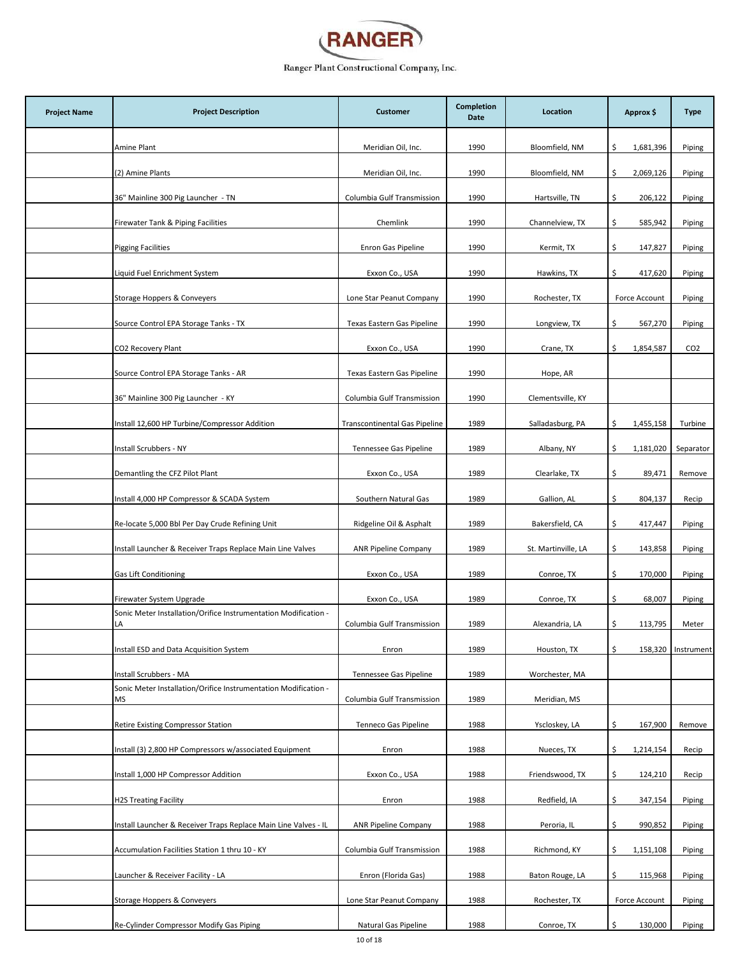

| <b>Project Name</b> | <b>Project Description</b>                                            | <b>Customer</b>               | <b>Completion</b><br>Date | Location            | Approx \$       | <b>Type</b>        |
|---------------------|-----------------------------------------------------------------------|-------------------------------|---------------------------|---------------------|-----------------|--------------------|
|                     | Amine Plant                                                           | Meridian Oil, Inc.            | 1990                      | Bloomfield, NM      | \$<br>1,681,396 | Piping             |
|                     | (2) Amine Plants                                                      | Meridian Oil, Inc.            | 1990                      | Bloomfield, NM      | \$<br>2,069,126 | Piping             |
|                     | 36" Mainline 300 Pig Launcher - TN                                    | Columbia Gulf Transmission    | 1990                      | Hartsville, TN      | \$<br>206,122   | Piping             |
|                     | Firewater Tank & Piping Facilities                                    | Chemlink                      | 1990                      | Channelview, TX     | \$<br>585,942   | Piping             |
|                     | <b>Pigging Facilities</b>                                             | Enron Gas Pipeline            | 1990                      | Kermit, TX          | \$<br>147,827   | Piping             |
|                     | Liquid Fuel Enrichment System                                         | Exxon Co., USA                | 1990                      | Hawkins, TX         | \$<br>417,620   | Piping             |
|                     | Storage Hoppers & Conveyers                                           | Lone Star Peanut Company      | 1990                      | Rochester, TX       | Force Account   | Piping             |
|                     | Source Control EPA Storage Tanks - TX                                 | Texas Eastern Gas Pipeline    | 1990                      | Longview, TX        | \$<br>567,270   | Piping             |
|                     | CO2 Recovery Plant                                                    | Exxon Co., USA                | 1990                      | Crane, TX           | 1,854,587<br>\$ | CO <sub>2</sub>    |
|                     | Source Control EPA Storage Tanks - AR                                 | Texas Eastern Gas Pipeline    | 1990                      | Hope, AR            |                 |                    |
|                     | 36" Mainline 300 Pig Launcher - KY                                    | Columbia Gulf Transmission    | 1990                      | Clementsville, KY   |                 |                    |
|                     | Install 12,600 HP Turbine/Compressor Addition                         | Transcontinental Gas Pipeline | 1989                      | Salladasburg, PA    | \$<br>1,455,158 | Turbine            |
|                     | Install Scrubbers - NY                                                | Tennessee Gas Pipeline        | 1989                      | Albany, NY          | \$<br>1,181,020 | Separator          |
|                     | Demantling the CFZ Pilot Plant                                        | Exxon Co., USA                | 1989                      | Clearlake, TX       | \$<br>89,471    | Remove             |
|                     | Install 4,000 HP Compressor & SCADA System                            | Southern Natural Gas          | 1989                      | Gallion, AL         | \$<br>804,137   | Recip              |
|                     | Re-locate 5,000 Bbl Per Day Crude Refining Unit                       | Ridgeline Oil & Asphalt       | 1989                      | Bakersfield, CA     | \$<br>417,447   | Piping             |
|                     | Install Launcher & Receiver Traps Replace Main Line Valves            | <b>ANR Pipeline Company</b>   | 1989                      | St. Martinville, LA | \$<br>143,858   | Piping             |
|                     | <b>Gas Lift Conditioning</b>                                          | Exxon Co., USA                | 1989                      | Conroe, TX          | \$<br>170,000   | Piping             |
|                     | Firewater System Upgrade                                              | Exxon Co., USA                | 1989                      | Conroe, TX          | 68,007<br>\$    | Piping             |
|                     | Sonic Meter Installation/Orifice Instrumentation Modification -<br>LA | Columbia Gulf Transmission    | 1989                      | Alexandria, LA      | \$<br>113,795   | Meter              |
|                     | Install ESD and Data Acquisition System                               | Enron                         | 1989                      | Houston, TX         | \$              | 158,320 Instrument |
|                     | Install Scrubbers - MA                                                | Tennessee Gas Pipeline        | 1989                      | Worchester, MA      |                 |                    |
|                     | Sonic Meter Installation/Orifice Instrumentation Modification -<br>MS | Columbia Gulf Transmission    | 1989                      | Meridian, MS        |                 |                    |
|                     | Retire Existing Compressor Station                                    | Tenneco Gas Pipeline          | 1988                      | Yscloskey, LA       | 167,900<br>\$   | Remove             |
|                     | Install (3) 2,800 HP Compressors w/associated Equipment               | Enron                         | 1988                      | Nueces, TX          | \$<br>1,214,154 | Recip              |
|                     | Install 1,000 HP Compressor Addition                                  | Exxon Co., USA                | 1988                      | Friendswood, TX     | \$<br>124,210   | Recip              |
|                     | <b>H2S Treating Facility</b>                                          | Enron                         | 1988                      | Redfield, IA        | \$<br>347,154   | Piping             |
|                     | Install Launcher & Receiver Traps Replace Main Line Valves - IL       | <b>ANR Pipeline Company</b>   | 1988                      | Peroria, IL         | \$<br>990,852   | Piping             |
|                     | Accumulation Facilities Station 1 thru 10 - KY                        | Columbia Gulf Transmission    | 1988                      | Richmond, KY        | 1,151,108<br>\$ | Piping             |
|                     | Launcher & Receiver Facility - LA                                     | Enron (Florida Gas)           | 1988                      | Baton Rouge, LA     | \$<br>115,968   | Piping             |
|                     | Storage Hoppers & Conveyers                                           | Lone Star Peanut Company      | 1988                      | Rochester, TX       | Force Account   | Piping             |
|                     | Re-Cylinder Compressor Modify Gas Piping                              | Natural Gas Pipeline          | 1988                      | Conroe, TX          | \$<br>130,000   | Piping             |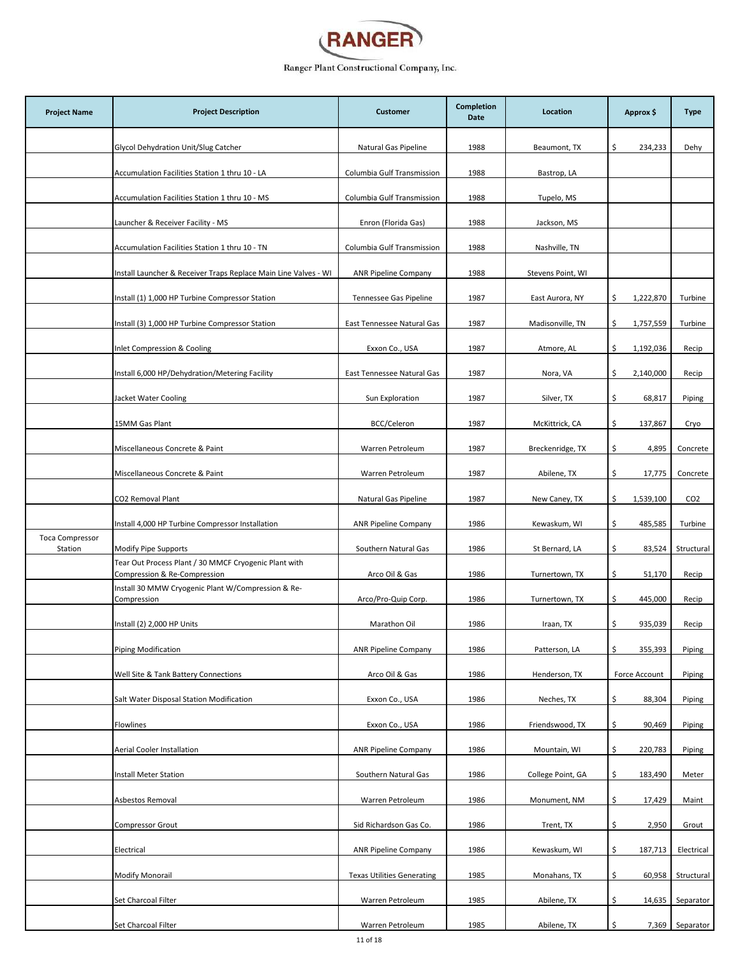

| <b>Project Name</b>               | <b>Project Description</b>                                                            | <b>Customer</b>                   | Completion<br>Date | Location          | Approx \$       | <b>Type</b>     |
|-----------------------------------|---------------------------------------------------------------------------------------|-----------------------------------|--------------------|-------------------|-----------------|-----------------|
|                                   | Glycol Dehydration Unit/Slug Catcher                                                  | Natural Gas Pipeline              | 1988               | Beaumont, TX      | \$<br>234,233   | Dehy            |
|                                   | Accumulation Facilities Station 1 thru 10 - LA                                        | Columbia Gulf Transmission        | 1988               | Bastrop, LA       |                 |                 |
|                                   | Accumulation Facilities Station 1 thru 10 - MS                                        | Columbia Gulf Transmission        | 1988               | Tupelo, MS        |                 |                 |
|                                   | Launcher & Receiver Facility - MS                                                     | Enron (Florida Gas)               | 1988               | Jackson, MS       |                 |                 |
|                                   | Accumulation Facilities Station 1 thru 10 - TN                                        | Columbia Gulf Transmission        | 1988               | Nashville, TN     |                 |                 |
|                                   | Install Launcher & Receiver Traps Replace Main Line Valves - WI                       | <b>ANR Pipeline Company</b>       | 1988               | Stevens Point, WI |                 |                 |
|                                   | Install (1) 1,000 HP Turbine Compressor Station                                       | Tennessee Gas Pipeline            | 1987               | East Aurora, NY   | 1,222,870<br>\$ | Turbine         |
|                                   | Install (3) 1,000 HP Turbine Compressor Station                                       | East Tennessee Natural Gas        | 1987               | Madisonville, TN  | \$<br>1,757,559 | Turbine         |
|                                   | Inlet Compression & Cooling                                                           | Exxon Co., USA                    | 1987               | Atmore, AL        | 1,192,036<br>\$ | Recip           |
|                                   | Install 6,000 HP/Dehydration/Metering Facility                                        | East Tennessee Natural Gas        | 1987               | Nora, VA          | \$<br>2,140,000 | Recip           |
|                                   | Jacket Water Cooling                                                                  | Sun Exploration                   | 1987               | Silver, TX        | \$<br>68,817    | Piping          |
|                                   | 15MM Gas Plant                                                                        | BCC/Celeron                       | 1987               | McKittrick, CA    | \$<br>137,867   | Cryo            |
|                                   | Miscellaneous Concrete & Paint                                                        | Warren Petroleum                  | 1987               | Breckenridge, TX  | \$<br>4,895     | Concrete        |
|                                   | Miscellaneous Concrete & Paint                                                        | Warren Petroleum                  | 1987               | Abilene, TX       | \$<br>17,775    | Concrete        |
|                                   | CO2 Removal Plant                                                                     | Natural Gas Pipeline              | 1987               | New Caney, TX     | Ŝ.<br>1,539,100 | CO <sub>2</sub> |
|                                   | Install 4,000 HP Turbine Compressor Installation                                      | <b>ANR Pipeline Company</b>       | 1986               | Kewaskum, WI      | \$<br>485,585   | Turbine         |
| <b>Toca Compressor</b><br>Station | Modify Pipe Supports                                                                  | Southern Natural Gas              | 1986               | St Bernard, LA    | \$<br>83,524    | Structural      |
|                                   | Tear Out Process Plant / 30 MMCF Cryogenic Plant with<br>Compression & Re-Compression | Arco Oil & Gas                    | 1986               | Turnertown, TX    | \$<br>51,170    | Recip           |
|                                   | Install 30 MMW Cryogenic Plant W/Compression & Re-<br>Compression                     | Arco/Pro-Quip Corp.               | 1986               | Turnertown, TX    | \$<br>445,000   | Recip           |
|                                   | Install (2) 2,000 HP Units                                                            | Marathon Oil                      | 1986               | Iraan, TX         | \$<br>935,039   | Recip           |
|                                   | Piping Modification                                                                   | <b>ANR Pipeline Company</b>       | 1986               | Patterson, LA     | \$<br>355,393   | Piping          |
|                                   | Well Site & Tank Battery Connections                                                  | Arco Oil & Gas                    | 1986               | Henderson, TX     | Force Account   | Piping          |
|                                   | Salt Water Disposal Station Modification                                              | Exxon Co., USA                    | 1986               | Neches, TX        | \$<br>88,304    | Piping          |
|                                   | Flowlines                                                                             | Exxon Co., USA                    | 1986               | Friendswood, TX   | \$<br>90,469    | Piping          |
|                                   | Aerial Cooler Installation                                                            | <b>ANR Pipeline Company</b>       | 1986               | Mountain, WI      | \$<br>220,783   | Piping          |
|                                   | Install Meter Station                                                                 | Southern Natural Gas              | 1986               | College Point, GA | \$<br>183,490   | Meter           |
|                                   | Asbestos Removal                                                                      | Warren Petroleum                  | 1986               | Monument, NM      | \$<br>17,429    | Maint           |
|                                   | Compressor Grout                                                                      | Sid Richardson Gas Co.            | 1986               | Trent, TX         | \$<br>2,950     | Grout           |
|                                   | Electrical                                                                            | <b>ANR Pipeline Company</b>       | 1986               | Kewaskum, WI      | \$<br>187,713   | Electrical      |
|                                   | <b>Modify Monorail</b>                                                                | <b>Texas Utilities Generating</b> | 1985               | Monahans, TX      | \$<br>60,958    | Structural      |
|                                   | Set Charcoal Filter                                                                   | Warren Petroleum                  | 1985               | Abilene, TX       | \$<br>14,635    | Separator       |
|                                   | Set Charcoal Filter                                                                   | Warren Petroleum                  | 1985               | Abilene, TX       | \$<br>7,369     | Separator       |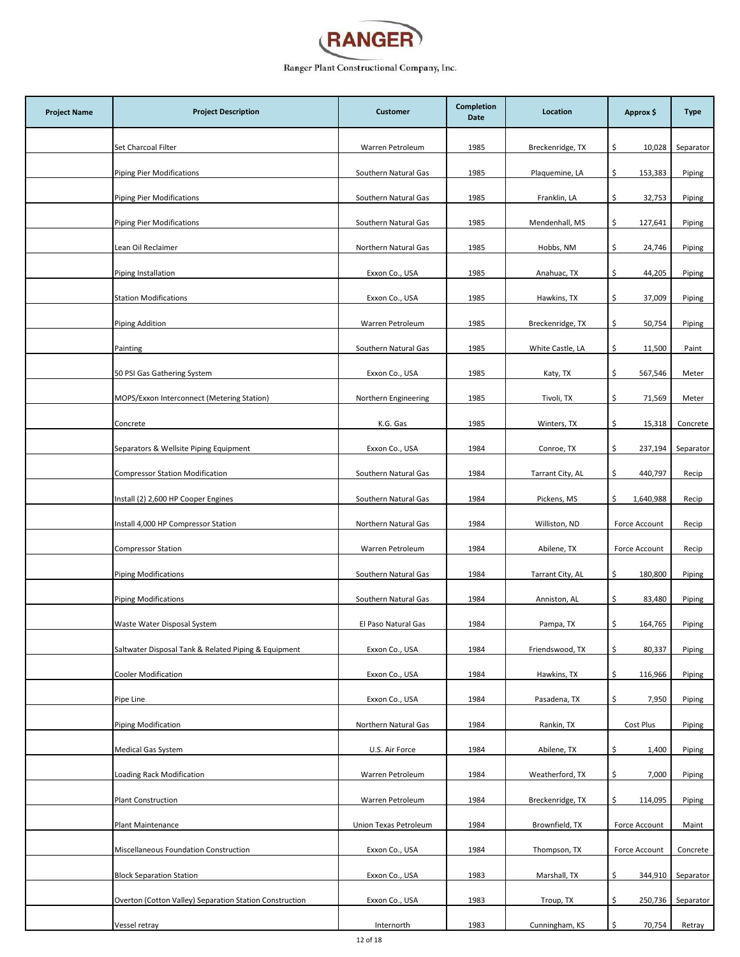

| <b>Project Name</b> | <b>Project Description</b>                              | <b>Customer</b>       | <b>Completion</b><br>Date | Location         | Approx \$       | <b>Type</b> |
|---------------------|---------------------------------------------------------|-----------------------|---------------------------|------------------|-----------------|-------------|
|                     | Set Charcoal Filter                                     | Warren Petroleum      | 1985                      | Breckenridge, TX | \$.<br>10,028   | Separator   |
|                     | <b>Piping Pier Modifications</b>                        | Southern Natural Gas  | 1985                      | Plaquemine, LA   | \$<br>153,383   | Piping      |
|                     | <b>Piping Pier Modifications</b>                        | Southern Natural Gas  | 1985                      | Franklin, LA     | \$<br>32,753    | Piping      |
|                     | <b>Piping Pier Modifications</b>                        | Southern Natural Gas  | 1985                      | Mendenhall, MS   | \$.<br>127,641  | Piping      |
|                     | Lean Oil Reclaimer                                      | Northern Natural Gas  | 1985                      | Hobbs, NM        | 24,746<br>\$.   | Piping      |
|                     | Piping Installation                                     | Exxon Co., USA        | 1985                      | Anahuac, TX      | \$<br>44,205    | Piping      |
|                     | <b>Station Modifications</b>                            | Exxon Co., USA        | 1985                      | Hawkins, TX      | \$<br>37,009    | Piping      |
|                     | Piping Addition                                         | Warren Petroleum      | 1985                      | Breckenridge, TX | \$<br>50,754    | Piping      |
|                     | Painting                                                | Southern Natural Gas  | 1985                      | White Castle, LA | \$<br>11,500    | Paint       |
|                     | 50 PSI Gas Gathering System                             | Exxon Co., USA        | 1985                      | Katy, TX         | \$<br>567,546   | Meter       |
|                     | MOPS/Exxon Interconnect (Metering Station)              | Northern Engineering  | 1985                      | Tivoli, TX       | \$<br>71,569    | Meter       |
|                     | Concrete                                                | K.G. Gas              | 1985                      | Winters, TX      | \$.<br>15,318   | Concrete    |
|                     | Separators & Wellsite Piping Equipment                  | Exxon Co., USA        | 1984                      | Conroe, TX       | \$<br>237,194   | Separator   |
|                     | <b>Compressor Station Modification</b>                  | Southern Natural Gas  | 1984                      | Tarrant City, AL | \$<br>440,797   | Recip       |
|                     | Install (2) 2,600 HP Cooper Engines                     | Southern Natural Gas  | 1984                      | Pickens, MS      | Ś.<br>1,640,988 | Recip       |
|                     | Install 4,000 HP Compressor Station                     | Northern Natural Gas  | 1984                      | Williston, ND    | Force Account   | Recip       |
|                     | <b>Compressor Station</b>                               | Warren Petroleum      | 1984                      | Abilene, TX      | Force Account   | Recip       |
|                     | <b>Piping Modifications</b>                             | Southern Natural Gas  | 1984                      | Tarrant City, AL | \$<br>180,800   | Piping      |
|                     | <b>Piping Modifications</b>                             | Southern Natural Gas  | 1984                      | Anniston, AL     | 83,480<br>\$.   | Piping      |
|                     | Waste Water Disposal System                             | El Paso Natural Gas   | 1984                      | Pampa, TX        | \$<br>164,765   | Piping      |
|                     | Saltwater Disposal Tank & Related Piping & Equipment    | Exxon Co., USA        | 1984                      | Friendswood, TX  | \$<br>80,337    | Piping      |
|                     | Cooler Modification                                     | Exxon Co., USA        | 1984                      | Hawkins, TX      | \$<br>116,966   | Piping      |
|                     | Pipe Line                                               | Exxon Co., USA        | 1984                      | Pasadena, TX     | \$<br>7,950     | Piping      |
|                     | Piping Modification                                     | Northern Natural Gas  | 1984                      | Rankin, TX       | Cost Plus       | Piping      |
|                     | Medical Gas System                                      | U.S. Air Force        | 1984                      | Abilene, TX      | 1,400<br>\$.    | Piping      |
|                     | Loading Rack Modification                               | Warren Petroleum      | 1984                      | Weatherford, TX  | \$<br>7,000     | Piping      |
|                     | <b>Plant Construction</b>                               | Warren Petroleum      | 1984                      | Breckenridge, TX | \$<br>114,095   | Piping      |
|                     | Plant Maintenance                                       | Union Texas Petroleum | 1984                      | Brownfield, TX   | Force Account   | Maint       |
|                     | Miscellaneous Foundation Construction                   | Exxon Co., USA        | 1984                      | Thompson, TX     | Force Account   | Concrete    |
|                     | <b>Block Separation Station</b>                         | Exxon Co., USA        | 1983                      | Marshall, TX     | \$<br>344,910   | Separator   |
|                     | Overton (Cotton Valley) Separation Station Construction | Exxon Co., USA        | 1983                      | Troup, TX        | \$<br>250,736   | Separator   |
|                     | Vessel retray                                           | Internorth            | 1983                      | Cunningham, KS   | \$<br>70,754    | Retray      |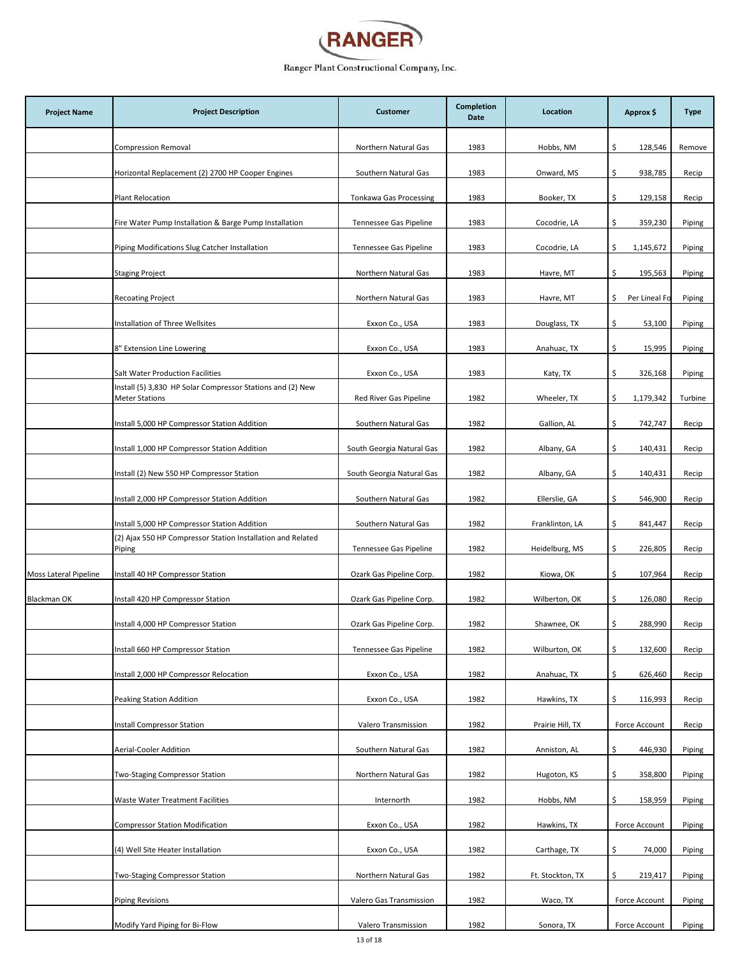

| <b>Project Name</b>   | <b>Project Description</b>                                                          | <b>Customer</b>               | <b>Completion</b><br>Date | Location         | Approx \$           | <b>Type</b> |
|-----------------------|-------------------------------------------------------------------------------------|-------------------------------|---------------------------|------------------|---------------------|-------------|
|                       | <b>Compression Removal</b>                                                          | Northern Natural Gas          | 1983                      | Hobbs, NM        | \$<br>128,546       | Remove      |
|                       | Horizontal Replacement (2) 2700 HP Cooper Engines                                   | Southern Natural Gas          | 1983                      | Onward, MS       | \$<br>938,785       | Recip       |
|                       | <b>Plant Relocation</b>                                                             | <b>Tonkawa Gas Processing</b> | 1983                      | Booker, TX       | \$<br>129,158       | Recip       |
|                       | Fire Water Pump Installation & Barge Pump Installation                              | Tennessee Gas Pipeline        | 1983                      | Cocodrie, LA     | \$<br>359,230       | Piping      |
|                       | Piping Modifications Slug Catcher Installation                                      | Tennessee Gas Pipeline        | 1983                      | Cocodrie, LA     | 1,145,672<br>\$     | Piping      |
|                       | <b>Staging Project</b>                                                              | Northern Natural Gas          | 1983                      | Havre, MT        | \$<br>195,563       | Piping      |
|                       | <b>Recoating Project</b>                                                            | Northern Natural Gas          | 1983                      | Havre, MT        | Per Lineal Fo<br>\$ | Piping      |
|                       | Installation of Three Wellsites                                                     | Exxon Co., USA                | 1983                      | Douglass, TX     | \$<br>53,100        | Piping      |
|                       | 8" Extension Line Lowering                                                          | Exxon Co., USA                | 1983                      | Anahuac, TX      | \$<br>15,995        | Piping      |
|                       | <b>Salt Water Production Facilities</b>                                             | Exxon Co., USA                | 1983                      | Katy, TX         | \$<br>326,168       | Piping      |
|                       | Install (5) 3,830 HP Solar Compressor Stations and (2) New<br><b>Meter Stations</b> | Red River Gas Pipeline        | 1982                      | Wheeler, TX      | \$<br>1,179,342     | Turbine     |
|                       | Install 5,000 HP Compressor Station Addition                                        | Southern Natural Gas          | 1982                      | Gallion, AL      | \$<br>742,747       | Recip       |
|                       | Install 1,000 HP Compressor Station Addition                                        | South Georgia Natural Gas     | 1982                      | Albany, GA       | \$<br>140,431       | Recip       |
|                       | Install (2) New 550 HP Compressor Station                                           | South Georgia Natural Gas     | 1982                      | Albany, GA       | \$<br>140,431       | Recip       |
|                       | Install 2,000 HP Compressor Station Addition                                        | Southern Natural Gas          | 1982                      | Ellerslie, GA    | \$<br>546,900       | Recip       |
|                       | Install 5,000 HP Compressor Station Addition                                        | Southern Natural Gas          | 1982                      | Franklinton, LA  | \$<br>841,447       | Recip       |
|                       | (2) Ajax 550 HP Compressor Station Installation and Related<br>Piping               | Tennessee Gas Pipeline        | 1982                      | Heidelburg, MS   | \$<br>226,805       | Recip       |
| Moss Lateral Pipeline | Install 40 HP Compressor Station                                                    | Ozark Gas Pipeline Corp.      | 1982                      | Kiowa, OK        | \$<br>107,964       | Recip       |
| Blackman OK           | Install 420 HP Compressor Station                                                   | Ozark Gas Pipeline Corp.      | 1982                      | Wilberton, OK    | \$<br>126,080       | Recip       |
|                       | Install 4,000 HP Compressor Station                                                 | Ozark Gas Pipeline Corp.      | 1982                      | Shawnee, OK      | \$<br>288,990       | Recip       |
|                       | Install 660 HP Compressor Station                                                   | Tennessee Gas Pipeline        | 1982                      | Wilburton, OK    | \$<br>132,600       | Recip       |
|                       | Install 2,000 HP Compressor Relocation                                              | Exxon Co., USA                | 1982                      | Anahuac, TX      | \$<br>626,460       | Recip       |
|                       | Peaking Station Addition                                                            | Exxon Co., USA                | 1982                      | Hawkins, TX      | \$<br>116,993       | Recip       |
|                       | Install Compressor Station                                                          | Valero Transmission           | 1982                      | Prairie Hill, TX | Force Account       | Recip       |
|                       | Aerial-Cooler Addition                                                              | Southern Natural Gas          | 1982                      | Anniston, AL     | \$<br>446,930       | Piping      |
|                       | Two-Staging Compressor Station                                                      | Northern Natural Gas          | 1982                      | Hugoton, KS      | \$<br>358,800       | Piping      |
|                       | Waste Water Treatment Facilities                                                    | Internorth                    | 1982                      | Hobbs, NM        | \$<br>158,959       | Piping      |
|                       | <b>Compressor Station Modification</b>                                              | Exxon Co., USA                | 1982                      | Hawkins, TX      | Force Account       | Piping      |
|                       | (4) Well Site Heater Installation                                                   | Exxon Co., USA                | 1982                      | Carthage, TX     | \$<br>74,000        | Piping      |
|                       | Two-Staging Compressor Station                                                      | Northern Natural Gas          | 1982                      | Ft. Stockton, TX | \$<br>219,417       | Piping      |
|                       | <b>Piping Revisions</b>                                                             | Valero Gas Transmission       | 1982                      | Waco, TX         | Force Account       | Piping      |
|                       | Modify Yard Piping for Bi-Flow                                                      | Valero Transmission           | 1982                      | Sonora, TX       | Force Account       | Piping      |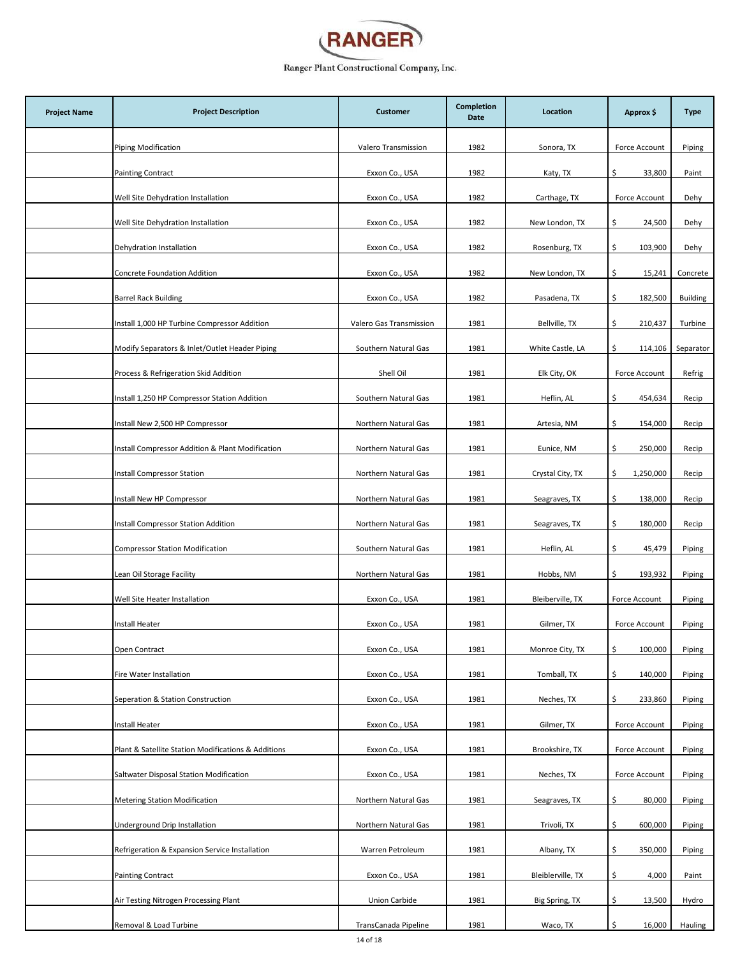

| <b>Project Name</b> | <b>Project Description</b>                          | <b>Customer</b>         | <b>Completion</b><br>Date | Location          | Approx \$       | <b>Type</b>     |
|---------------------|-----------------------------------------------------|-------------------------|---------------------------|-------------------|-----------------|-----------------|
|                     | <b>Piping Modification</b>                          | Valero Transmission     | 1982                      | Sonora, TX        | Force Account   | Piping          |
|                     | <b>Painting Contract</b>                            | Exxon Co., USA          | 1982                      | Katy, TX          | \$<br>33,800    | Paint           |
|                     | Well Site Dehydration Installation                  | Exxon Co., USA          | 1982                      | Carthage, TX      | Force Account   | Dehy            |
|                     | Well Site Dehydration Installation                  | Exxon Co., USA          | 1982                      | New London, TX    | \$<br>24,500    | Dehy            |
|                     | Dehydration Installation                            | Exxon Co., USA          | 1982                      | Rosenburg, TX     | \$<br>103,900   | Dehy            |
|                     | <b>Concrete Foundation Addition</b>                 | Exxon Co., USA          | 1982                      | New London, TX    | \$<br>15,241    | Concrete        |
|                     | <b>Barrel Rack Building</b>                         | Exxon Co., USA          | 1982                      | Pasadena, TX      | \$<br>182,500   | <b>Building</b> |
|                     | Install 1,000 HP Turbine Compressor Addition        | Valero Gas Transmission | 1981                      | Bellville, TX     | \$<br>210,437   | Turbine         |
|                     | Modify Separators & Inlet/Outlet Header Piping      | Southern Natural Gas    | 1981                      | White Castle, LA  | \$<br>114,106   | Separator       |
|                     | Process & Refrigeration Skid Addition               | Shell Oil               | 1981                      | Elk City, OK      | Force Account   | Refrig          |
|                     | Install 1,250 HP Compressor Station Addition        | Southern Natural Gas    | 1981                      | Heflin, AL        | \$<br>454,634   | Recip           |
|                     | Install New 2,500 HP Compressor                     | Northern Natural Gas    | 1981                      | Artesia, NM       | \$<br>154,000   | Recip           |
|                     | Install Compressor Addition & Plant Modification    | Northern Natural Gas    | 1981                      | Eunice, NM        | \$<br>250,000   | Recip           |
|                     | Install Compressor Station                          | Northern Natural Gas    | 1981                      | Crystal City, TX  | \$<br>1,250,000 | Recip           |
|                     | Install New HP Compressor                           | Northern Natural Gas    | 1981                      | Seagraves, TX     | \$<br>138,000   | Recip           |
|                     | Install Compressor Station Addition                 | Northern Natural Gas    | 1981                      | Seagraves, TX     | \$<br>180,000   | Recip           |
|                     | <b>Compressor Station Modification</b>              | Southern Natural Gas    | 1981                      | Heflin, AL        | \$<br>45,479    | Piping          |
|                     | Lean Oil Storage Facility                           | Northern Natural Gas    | 1981                      | Hobbs, NM         | \$<br>193,932   | Piping          |
|                     | Well Site Heater Installation                       | Exxon Co., USA          | 1981                      | Bleiberville, TX  | Force Account   | Piping          |
|                     | Install Heater                                      | Exxon Co., USA          | 1981                      | Gilmer, TX        | Force Account   | Piping          |
|                     | Open Contract                                       | Exxon Co., USA          | 1981                      | Monroe City, TX   | \$<br>100,000   | Piping          |
|                     | Fire Water Installation                             | Exxon Co., USA          | 1981                      | Tomball, TX       | \$<br>140,000   | Piping          |
|                     | Seperation & Station Construction                   | Exxon Co., USA          | 1981                      | Neches, TX        | \$<br>233,860   | Piping          |
|                     | <b>Install Heater</b>                               | Exxon Co., USA          | 1981                      | Gilmer, TX        | Force Account   | Piping          |
|                     | Plant & Satellite Station Modifications & Additions | Exxon Co., USA          | 1981                      | Brookshire, TX    | Force Account   | Piping          |
|                     | Saltwater Disposal Station Modification             | Exxon Co., USA          | 1981                      | Neches, TX        | Force Account   | Piping          |
|                     | <b>Metering Station Modification</b>                | Northern Natural Gas    | 1981                      | Seagraves, TX     | \$<br>80,000    | Piping          |
|                     | Underground Drip Installation                       | Northern Natural Gas    | 1981                      | Trivoli, TX       | \$<br>600,000   | Piping          |
|                     | Refrigeration & Expansion Service Installation      | Warren Petroleum        | 1981                      | Albany, TX        | \$<br>350,000   | Piping          |
|                     | <b>Painting Contract</b>                            | Exxon Co., USA          | 1981                      | Bleiblerville, TX | \$<br>4,000     | Paint           |
|                     | Air Testing Nitrogen Processing Plant               | Union Carbide           | 1981                      | Big Spring, TX    | \$<br>13,500    | Hydro           |
|                     | Removal & Load Turbine                              | TransCanada Pipeline    | 1981                      | Waco, TX          | \$<br>16,000    | Hauling         |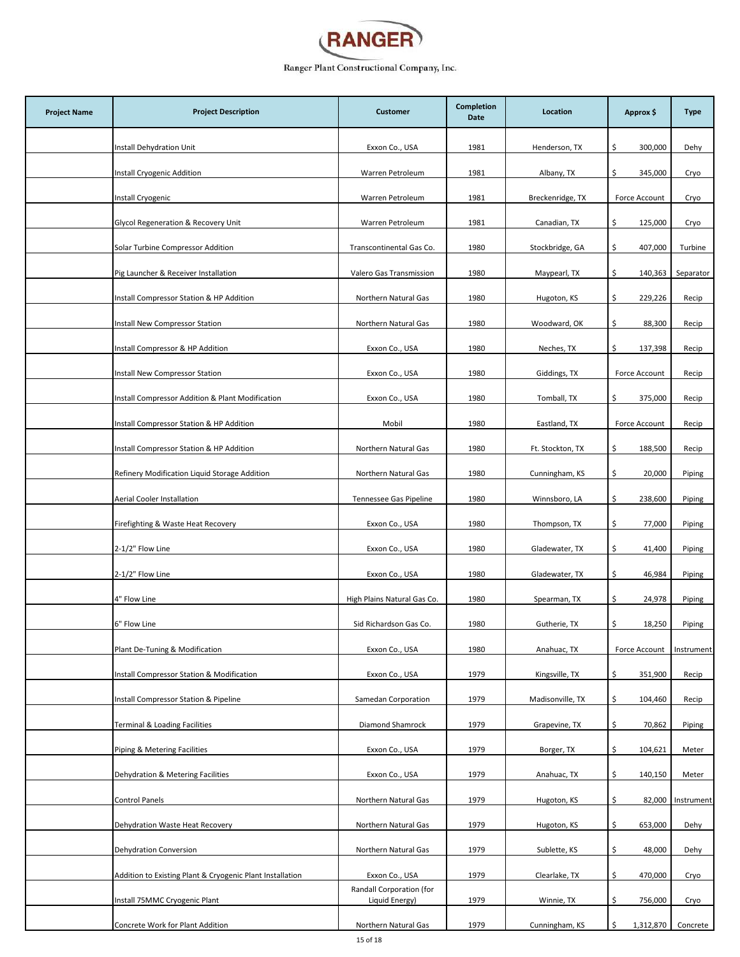

| <b>Project Name</b> | <b>Project Description</b>                                | <b>Customer</b>                            | <b>Completion</b><br>Date | Location         | Approx \$       | <b>Type</b> |
|---------------------|-----------------------------------------------------------|--------------------------------------------|---------------------------|------------------|-----------------|-------------|
|                     | Install Dehydration Unit                                  | Exxon Co., USA                             | 1981                      | Henderson, TX    | \$.<br>300,000  | Dehy        |
|                     | Install Cryogenic Addition                                | Warren Petroleum                           | 1981                      | Albany, TX       | \$<br>345,000   | Cryo        |
|                     | Install Cryogenic                                         | Warren Petroleum                           | 1981                      | Breckenridge, TX | Force Account   | Cryo        |
|                     | Glycol Regeneration & Recovery Unit                       | Warren Petroleum                           | 1981                      | Canadian, TX     | 125,000<br>\$.  | Cryo        |
|                     | Solar Turbine Compressor Addition                         | Transcontinental Gas Co.                   | 1980                      | Stockbridge, GA  | \$<br>407,000   | Turbine     |
|                     | Pig Launcher & Receiver Installation                      | Valero Gas Transmission                    | 1980                      | Maypearl, TX     | \$<br>140,363   | Separator   |
|                     | Install Compressor Station & HP Addition                  | Northern Natural Gas                       | 1980                      | Hugoton, KS      | \$<br>229,226   | Recip       |
|                     | Install New Compressor Station                            | Northern Natural Gas                       | 1980                      | Woodward, OK     | \$<br>88,300    | Recip       |
|                     | Install Compressor & HP Addition                          | Exxon Co., USA                             | 1980                      | Neches, TX       | \$<br>137,398   | Recip       |
|                     | Install New Compressor Station                            | Exxon Co., USA                             | 1980                      | Giddings, TX     | Force Account   | Recip       |
|                     | Install Compressor Addition & Plant Modification          | Exxon Co., USA                             | 1980                      | Tomball, TX      | 375,000<br>\$   | Recip       |
|                     | Install Compressor Station & HP Addition                  | Mobil                                      | 1980                      | Eastland, TX     | Force Account   | Recip       |
|                     | Install Compressor Station & HP Addition                  | Northern Natural Gas                       | 1980                      | Ft. Stockton, TX | \$<br>188,500   | Recip       |
|                     | Refinery Modification Liquid Storage Addition             | Northern Natural Gas                       | 1980                      | Cunningham, KS   | \$<br>20,000    | Piping      |
|                     | Aerial Cooler Installation                                | Tennessee Gas Pipeline                     | 1980                      | Winnsboro, LA    | \$<br>238,600   | Piping      |
|                     | Firefighting & Waste Heat Recovery                        | Exxon Co., USA                             | 1980                      | Thompson, TX     | \$<br>77,000    | Piping      |
|                     | 2-1/2" Flow Line                                          | Exxon Co., USA                             | 1980                      | Gladewater, TX   | \$<br>41,400    | Piping      |
|                     | 2-1/2" Flow Line                                          | Exxon Co., USA                             | 1980                      | Gladewater, TX   | \$<br>46,984    | Piping      |
|                     | 4" Flow Line                                              | High Plains Natural Gas Co.                | 1980                      | Spearman, TX     | \$<br>24,978    | Piping      |
|                     | 6" Flow Line                                              | Sid Richardson Gas Co.                     | 1980                      | Gutherie, TX     | \$<br>18,250    | Piping      |
|                     | Plant De-Tuning & Modification                            | Exxon Co., USA                             | 1980                      | Anahuac, TX      | Force Account   | Instrument  |
|                     | Install Compressor Station & Modification                 | Exxon Co., USA                             | 1979                      | Kingsville, TX   | \$<br>351,900   | Recip       |
|                     | Install Compressor Station & Pipeline                     | Samedan Corporation                        | 1979                      | Madisonville, TX | \$<br>104,460   | Recip       |
|                     | <b>Terminal &amp; Loading Facilities</b>                  | Diamond Shamrock                           | 1979                      | Grapevine, TX    | \$.<br>70,862   | Piping      |
|                     | Piping & Metering Facilities                              | Exxon Co., USA                             | 1979                      | Borger, TX       | \$.<br>104,621  | Meter       |
|                     | Dehydration & Metering Facilities                         | Exxon Co., USA                             | 1979                      | Anahuac, TX      | 140,150<br>\$.  | Meter       |
|                     | <b>Control Panels</b>                                     | Northern Natural Gas                       | 1979                      | Hugoton, KS      | \$<br>82,000    | Instrument  |
|                     | Dehydration Waste Heat Recovery                           | Northern Natural Gas                       | 1979                      | Hugoton, KS      | \$<br>653,000   | Dehy        |
|                     | Dehydration Conversion                                    | Northern Natural Gas                       | 1979                      | Sublette, KS     | 48,000<br>\$.   | Dehy        |
|                     | Addition to Existing Plant & Cryogenic Plant Installation | Exxon Co., USA                             | 1979                      | Clearlake, TX    | \$<br>470,000   | Cryo        |
|                     | Install 75MMC Cryogenic Plant                             | Randall Corporation (for<br>Liquid Energy) | 1979                      | Winnie, TX       | \$<br>756,000   | Cryo        |
|                     | Concrete Work for Plant Addition                          | Northern Natural Gas                       | 1979                      | Cunningham, KS   | \$<br>1,312,870 | Concrete    |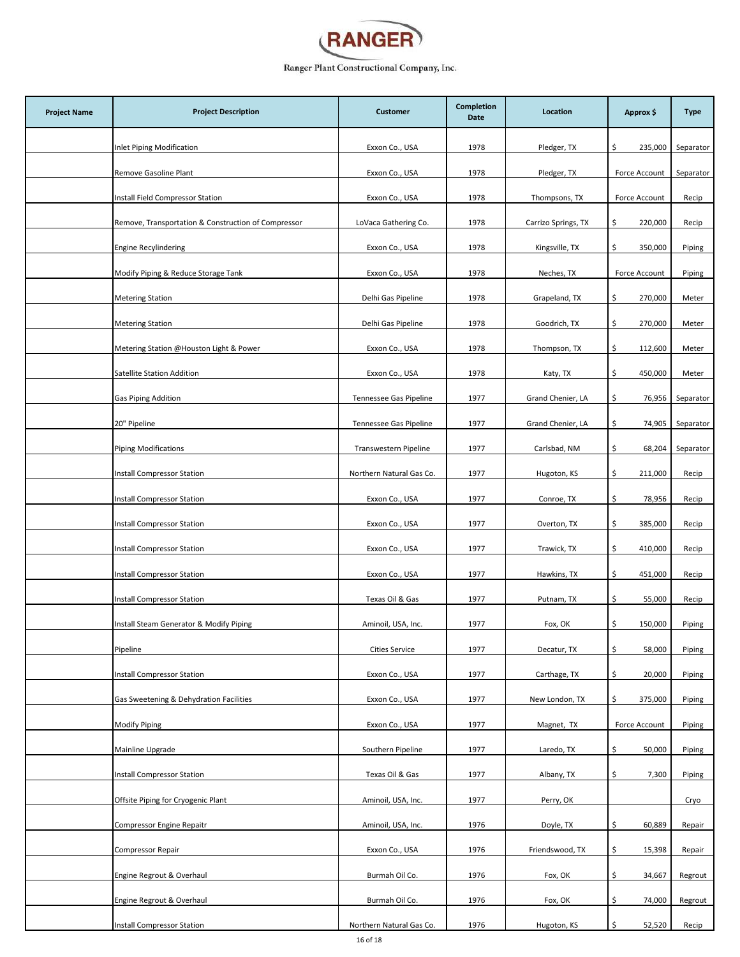

| <b>Project Name</b> | <b>Project Description</b>                          | <b>Customer</b>          | <b>Completion</b><br>Date | Location            | Approx \$      | <b>Type</b> |
|---------------------|-----------------------------------------------------|--------------------------|---------------------------|---------------------|----------------|-------------|
|                     | Inlet Piping Modification                           | Exxon Co., USA           | 1978                      | Pledger, TX         | \$.<br>235,000 | Separator   |
|                     | Remove Gasoline Plant                               | Exxon Co., USA           | 1978                      | Pledger, TX         | Force Account  | Separator   |
|                     | Install Field Compressor Station                    | Exxon Co., USA           | 1978                      | Thompsons, TX       | Force Account  | Recip       |
|                     | Remove, Transportation & Construction of Compressor | LoVaca Gathering Co.     | 1978                      | Carrizo Springs, TX | \$.<br>220,000 | Recip       |
|                     | Engine Recylindering                                | Exxon Co., USA           | 1978                      | Kingsville, TX      | 350,000<br>\$. | Piping      |
|                     | Modify Piping & Reduce Storage Tank                 | Exxon Co., USA           | 1978                      | Neches, TX          | Force Account  | Piping      |
|                     | <b>Metering Station</b>                             | Delhi Gas Pipeline       | 1978                      | Grapeland, TX       | \$<br>270,000  | Meter       |
|                     | <b>Metering Station</b>                             | Delhi Gas Pipeline       | 1978                      | Goodrich, TX        | \$<br>270,000  | Meter       |
|                     | Metering Station @Houston Light & Power             | Exxon Co., USA           | 1978                      | Thompson, TX        | 112,600<br>\$. | Meter       |
|                     | Satellite Station Addition                          | Exxon Co., USA           | 1978                      | Katy, TX            | \$<br>450,000  | Meter       |
|                     | <b>Gas Piping Addition</b>                          | Tennessee Gas Pipeline   | 1977                      | Grand Chenier, LA   | \$<br>76,956   | Separator   |
|                     | 20" Pipeline                                        | Tennessee Gas Pipeline   | 1977                      | Grand Chenier, LA   | \$.<br>74,905  | Separator   |
|                     | <b>Piping Modifications</b>                         | Transwestern Pipeline    | 1977                      | Carlsbad, NM        | \$<br>68,204   | Separator   |
|                     | Install Compressor Station                          | Northern Natural Gas Co. | 1977                      | Hugoton, KS         | \$<br>211,000  | Recip       |
|                     | Install Compressor Station                          | Exxon Co., USA           | 1977                      | Conroe, TX          | \$.<br>78,956  | Recip       |
|                     | Install Compressor Station                          | Exxon Co., USA           | 1977                      | Overton, TX         | \$<br>385,000  | Recip       |
|                     | Install Compressor Station                          | Exxon Co., USA           | 1977                      | Trawick, TX         | \$<br>410,000  | Recip       |
|                     | Install Compressor Station                          | Exxon Co., USA           | 1977                      | Hawkins, TX         | \$<br>451,000  | Recip       |
|                     | Install Compressor Station                          | Texas Oil & Gas          | 1977                      | Putnam, TX          | 55,000<br>\$.  | Recip       |
|                     | Install Steam Generator & Modify Piping             | Aminoil, USA, Inc.       | 1977                      | Fox, OK             | \$<br>150,000  | Piping      |
|                     | Pipeline                                            | <b>Cities Service</b>    | 1977                      | Decatur, TX         | \$<br>58,000   | Piping      |
|                     | Install Compressor Station                          | Exxon Co., USA           | 1977                      | Carthage, TX        | \$<br>20,000   | Piping      |
|                     | Gas Sweetening & Dehydration Facilities             | Exxon Co., USA           | 1977                      | New London, TX      | \$<br>375,000  | Piping      |
|                     | <b>Modify Piping</b>                                | Exxon Co., USA           | 1977                      | Magnet, TX          | Force Account  | Piping      |
|                     | Mainline Upgrade                                    | Southern Pipeline        | 1977                      | Laredo, TX          | \$<br>50,000   | Piping      |
|                     | Install Compressor Station                          | Texas Oil & Gas          | 1977                      | Albany, TX          | \$<br>7,300    | Piping      |
|                     | Offsite Piping for Cryogenic Plant                  | Aminoil, USA, Inc.       | 1977                      | Perry, OK           |                | Cryo        |
|                     | <b>Compressor Engine Repaitr</b>                    | Aminoil, USA, Inc.       | 1976                      | Doyle, TX           | 60,889<br>\$.  | Repair      |
|                     | <b>Compressor Repair</b>                            | Exxon Co., USA           | 1976                      | Friendswood, TX     | \$.<br>15,398  | Repair      |
|                     | Engine Regrout & Overhaul                           | Burmah Oil Co.           | 1976                      | Fox, OK             | \$<br>34,667   | Regrout     |
|                     | Engine Regrout & Overhaul                           | Burmah Oil Co.           | 1976                      | Fox, OK             | 74,000<br>\$   | Regrout     |
|                     | Install Compressor Station                          | Northern Natural Gas Co. | 1976                      | Hugoton, KS         | \$<br>52,520   | Recip       |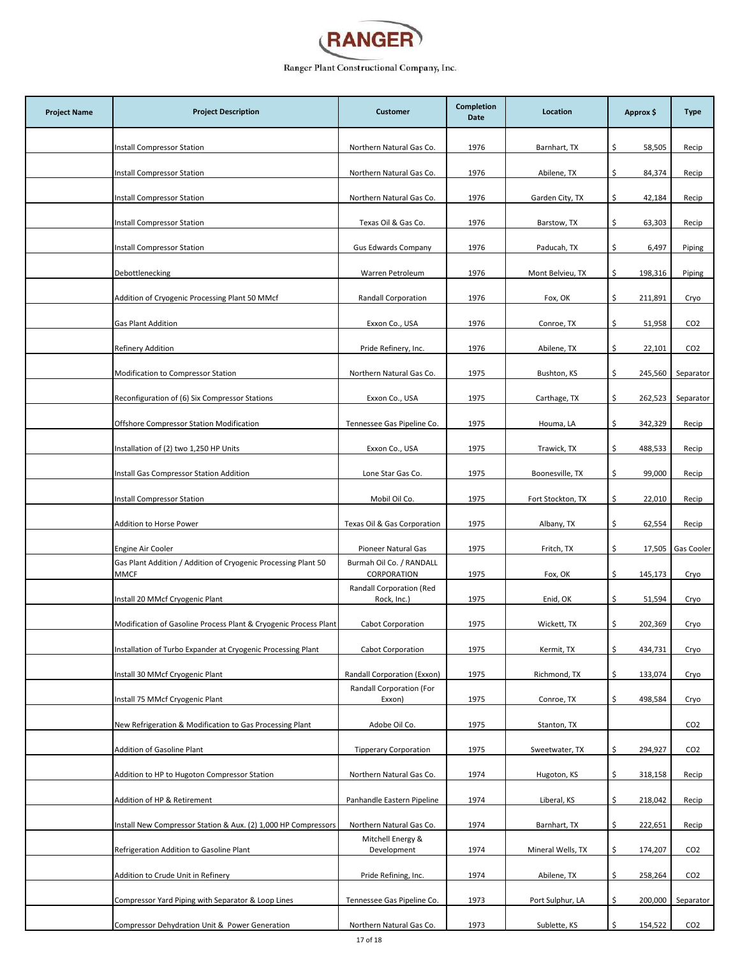

| <b>Project Name</b> | <b>Project Description</b>                                                    | <b>Customer</b>                         | <b>Completion</b><br>Date | Location          | Approx \$      | <b>Type</b>     |
|---------------------|-------------------------------------------------------------------------------|-----------------------------------------|---------------------------|-------------------|----------------|-----------------|
|                     | <b>Install Compressor Station</b>                                             | Northern Natural Gas Co.                | 1976                      | Barnhart, TX      | \$.<br>58,505  | Recip           |
|                     | Install Compressor Station                                                    | Northern Natural Gas Co.                | 1976                      | Abilene, TX       | \$<br>84,374   | Recip           |
|                     | Install Compressor Station                                                    | Northern Natural Gas Co.                | 1976                      | Garden City, TX   | \$.<br>42,184  | Recip           |
|                     | Install Compressor Station                                                    | Texas Oil & Gas Co.                     | 1976                      | Barstow, TX       | \$.<br>63,303  | Recip           |
|                     | Install Compressor Station                                                    | <b>Gus Edwards Company</b>              | 1976                      | Paducah, TX       | 6,497<br>\$    | Piping          |
|                     | Debottlenecking                                                               | Warren Petroleum                        | 1976                      | Mont Belvieu, TX  | \$<br>198,316  | Piping          |
|                     | Addition of Cryogenic Processing Plant 50 MMcf                                | Randall Corporation                     | 1976                      | Fox, OK           | \$.<br>211,891 | Cryo            |
|                     | <b>Gas Plant Addition</b>                                                     | Exxon Co., USA                          | 1976                      | Conroe, TX        | \$<br>51,958   | CO <sub>2</sub> |
|                     | Refinery Addition                                                             | Pride Refinery, Inc.                    | 1976                      | Abilene, TX       | \$<br>22,101   | CO <sub>2</sub> |
|                     | Modification to Compressor Station                                            | Northern Natural Gas Co.                | 1975                      | Bushton, KS       | \$<br>245,560  | Separator       |
|                     | Reconfiguration of (6) Six Compressor Stations                                | Exxon Co., USA                          | 1975                      | Carthage, TX      | \$<br>262,523  | Separator       |
|                     | Offshore Compressor Station Modification                                      | Tennessee Gas Pipeline Co.              | 1975                      | Houma, LA         | \$<br>342,329  | Recip           |
|                     | Installation of (2) two 1,250 HP Units                                        | Exxon Co., USA                          | 1975                      | Trawick, TX       | \$<br>488,533  | Recip           |
|                     | Install Gas Compressor Station Addition                                       | Lone Star Gas Co.                       | 1975                      | Boonesville, TX   | \$<br>99,000   | Recip           |
|                     | Install Compressor Station                                                    | Mobil Oil Co.                           | 1975                      | Fort Stockton, TX | \$.<br>22,010  | Recip           |
|                     | Addition to Horse Power                                                       | Texas Oil & Gas Corporation             | 1975                      | Albany, TX        | \$.<br>62,554  | Recip           |
|                     | Engine Air Cooler                                                             | Pioneer Natural Gas                     | 1975                      | Fritch, TX        | \$<br>17,505   | Gas Cooler      |
|                     | Gas Plant Addition / Addition of Cryogenic Processing Plant 50<br><b>MMCF</b> | Burmah Oil Co. / RANDALL<br>CORPORATION | 1975                      | Fox, OK           | \$<br>145,173  | Cryo            |
|                     | Install 20 MMcf Cryogenic Plant                                               | Randall Corporation (Red<br>Rock, Inc.) | 1975                      | Enid, OK          | \$<br>51,594   | Cryo            |
|                     | Modification of Gasoline Process Plant & Cryogenic Process Plant              | Cabot Corporation                       | 1975                      | Wickett, TX       | \$<br>202,369  | Cryo            |
|                     | Installation of Turbo Expander at Cryogenic Processing Plant                  | Cabot Corporation                       | 1975                      | Kermit, TX        | \$<br>434,731  | Cryo            |
|                     | Install 30 MMcf Cryogenic Plant                                               | Randall Corporation (Exxon)             | 1975                      | Richmond, TX      | \$<br>133,074  | Cryo            |
|                     | Install 75 MMcf Cryogenic Plant                                               | Randall Corporation (For<br>Exxon)      | 1975                      | Conroe, TX        | \$<br>498,584  | Cryo            |
|                     | New Refrigeration & Modification to Gas Processing Plant                      | Adobe Oil Co.                           | 1975                      | Stanton, TX       |                | CO <sub>2</sub> |
|                     | Addition of Gasoline Plant                                                    | <b>Tipperary Corporation</b>            | 1975                      | Sweetwater, TX    | \$<br>294,927  | CO <sub>2</sub> |
|                     | Addition to HP to Hugoton Compressor Station                                  | Northern Natural Gas Co.                | 1974                      | Hugoton, KS       | \$<br>318,158  | Recip           |
|                     | Addition of HP & Retirement                                                   | Panhandle Eastern Pipeline              | 1974                      | Liberal, KS       | \$<br>218,042  | Recip           |
|                     | Install New Compressor Station & Aux. (2) 1,000 HP Compressors                | Northern Natural Gas Co.                | 1974                      | Barnhart, TX      | \$<br>222,651  | Recip           |
|                     | Refrigeration Addition to Gasoline Plant                                      | Mitchell Energy &<br>Development        | 1974                      | Mineral Wells, TX | \$.<br>174,207 | CO <sub>2</sub> |
|                     | Addition to Crude Unit in Refinery                                            | Pride Refining, Inc.                    | 1974                      | Abilene, TX       | \$<br>258,264  | CO <sub>2</sub> |
|                     | Compressor Yard Piping with Separator & Loop Lines                            | Tennessee Gas Pipeline Co.              | 1973                      | Port Sulphur, LA  | \$.<br>200,000 | Separator       |
|                     | Compressor Dehydration Unit & Power Generation                                | Northern Natural Gas Co.                | 1973                      | Sublette, KS      | \$<br>154,522  | CO <sub>2</sub> |